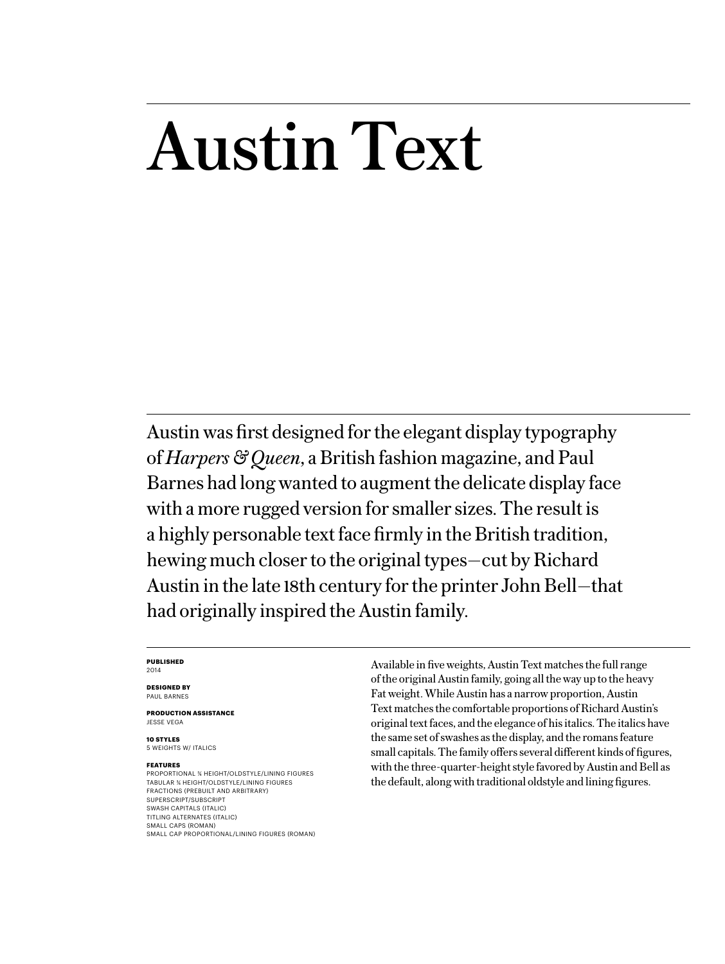## Austin Text

Austin was first designed for the elegant display typography of *Harpers & Queen*, a British fashion magazine, and Paul Barnes had long wanted to augment the delicate display face with a more rugged version for smaller sizes. The result is a highly personable text face firmly in the British tradition, hewing much closer to the original types—cut by Richard Austin in the late 18th century for the printer John Bell—that had originally inspired the Austin family.

#### **PUBLISHED** 2014

**DESIGNED BY** PAUL BARNES

**PRODUCTION ASSISTANCE** JESSE VEGA

**10 STYLES** 5 WEIGHTS W/ ITALICS

#### **FEATURES**

PROPORTIONAL 3/4 HEIGHT/OLDSTYLE/LINING FIGURES TABULAR 3/4 HEIGHT/OLDSTYLE/LINING FIGURES FRACTIONS (PREBUILT AND ARBITRARY) SUPERSCRIPT/SUBSCRIPT SWASH CAPITALS (ITALIC) TITLING ALTERNATES (ITALIC) SMALL CAPS (ROMAN) SMALL CAP PROPORTIONAL/LINING FIGURES (ROMAN) Available in five weights, Austin Text matches the full range of the original Austin family, going all the way up to the heavy Fat weight. While Austin has a narrow proportion, Austin Text matches the comfortable proportions of Richard Austin's original text faces, and the elegance of his italics. The italics have the same set of swashes as the display, and the romans feature small capitals. The family offers several different kinds of figures, with the three-quarter-height style favored by Austin and Bell as the default, along with traditional oldstyle and lining figures.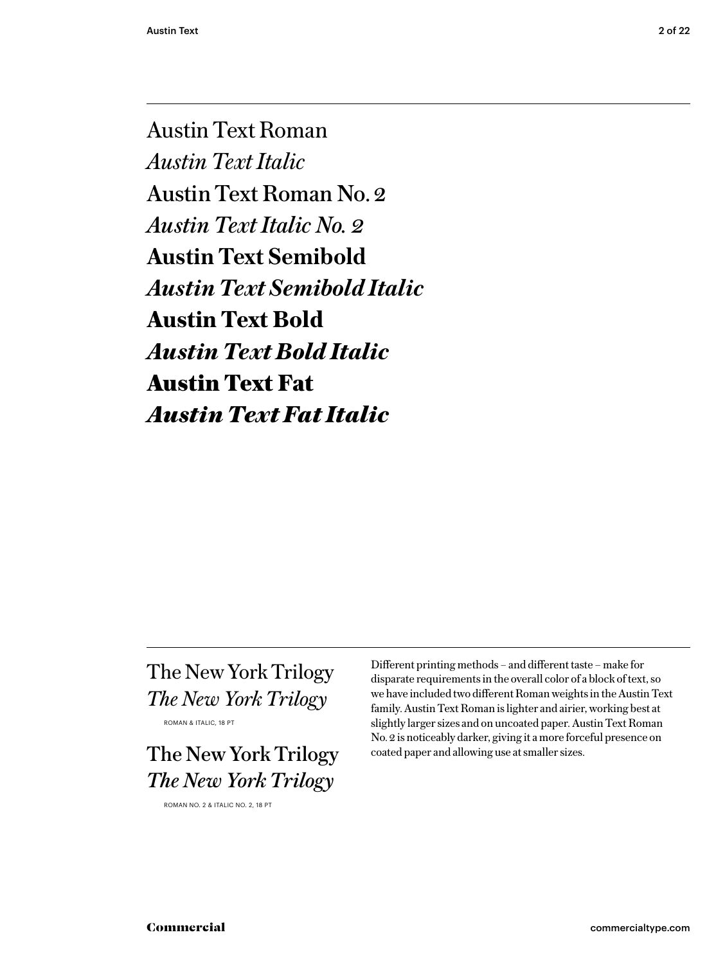Austin Text Roman *Austin Text Italic* Austin Text Roman No. 2 *Austin Text Italic No. 2* **Austin Text Semibold** *Austin Text Semibold Italic* **Austin Text Bold** *Austin Text Bold Italic* Austin Text Fat *Austin Text Fat Italic*

The New York Trilogy *The New York Trilogy* 

ROMAN & ITALIC, 18 PT

The New York Trilogy *The New York Trilogy*

ROMAN NO. 2 & ITALIC NO. 2, 18 PT

Different printing methods – and different taste – make for disparate requirements in the overall color of a block of text, so we have included two different Roman weights in the Austin Text family. Austin Text Roman is lighter and airier, working best at slightly larger sizes and on uncoated paper. Austin Text Roman No. 2 is noticeably darker, giving it a more forceful presence on coated paper and allowing use at smaller sizes.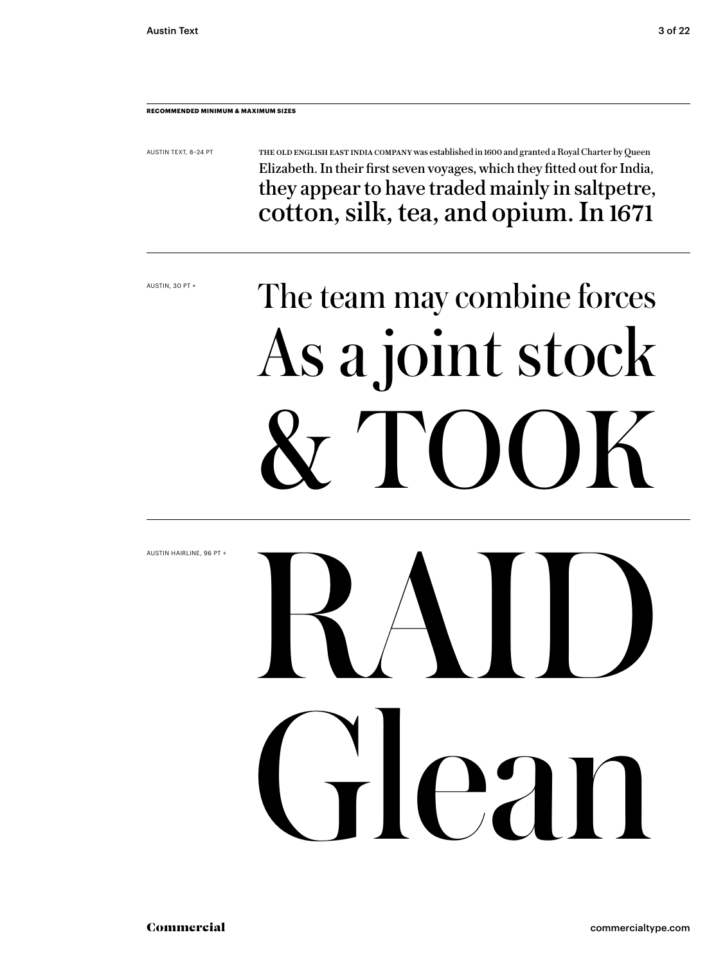#### **RECOMMENDED MINIMUM & MAXIMUM SIZES**

AUSTIN TEXT, 8–24 PT

The old English East India Company was established in 1600 and granted a Royal Charter by Queen Elizabeth. In their first seven voyages, which they fitted out for India, they appear to have traded mainly in saltpetre, cotton, silk, tea, and opium. In 1671

AUSTIN, 30 PT +

# The team may combine forces As a joint stock & TOOK

AUSTIN HAIRLINE, 96 PT + Glean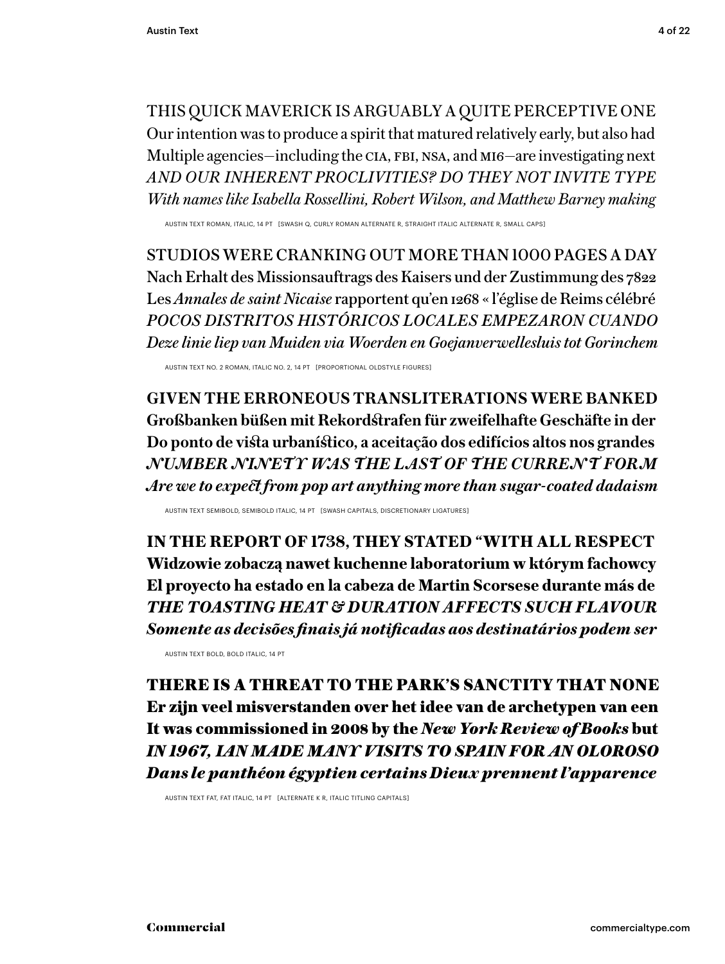THIS QUICK MAVERICK IS ARGUABLY A QUITE PERCEPTIVE ONE Our intention was to produce a spirit that matured relatively early, but also had Multiple agencies—including the CIA, FBI, NSA, and MI6—are investigating next *AND OUR INHERENT PROCLIVITIES? DO THEY NOT INVITE TYPE With names like Isabella Rossellini, Robert Wilson, and Matthew Barney making*

AUSTIN TEXT ROMAN, ITALIC, 14 PT [SWASH Q, CURLY ROMAN ALTERNATE R, STRAIGHT ITALIC ALTERNATE R, SMALL CAPS]

STUDIOS WERE CRANKING OUT MORE THAN 1000 PAGES A DAY Nach Erhalt des Missionsauftrags des Kaisers und der Zustimmung des 7822 Les *Annales de saint Nicaise* rapportent qu'en 1268 « l'église de Reims célébré *POCOS DISTRITOS HISTÓRICOS LOCALES EMPEZARON CUANDO Deze linie liep van Muiden via Woerden en Goejanverwellesluis tot Gorinchem*

AUSTIN TEXT NO. 2 ROMAN, ITALIC NO. 2, 14 PT [PROPORTIONAL OLDSTYLE FIGURES]

**GIVEN THE ERRONEOUS TRANSLITERATIONS WERE BANKED Großbanken büßen mit Rekordstrafen für zweifelhafte Geschäfte in der Do ponto de vista urbanístico, a aceitação dos edifícios altos nos grandes** *NUMBER NINETY WAS THE L AST OF THE CURRE N T FOR M Are we to expect from pop art anything more than sugar-coated dadaism* 

AUSTIN TEXT SEMIBOLD, SEMIBOLD ITALIC, 14 PT [SWASH CAPITALS, DISCRETIONARY LIGATURES]

**IN THE REPORT OF 1738, THEY STATED "WITH ALL RESPECT Widzowie zobaczą nawet kuchenne laboratorium w którym fachowcy El proyecto ha estado en la cabeza de Martin Scorsese durante más de**  *THE TOASTING HEAT & DURATION AFFECTS SUCH FLAVOUR Somente as decisões finais já notificadas aos destinatários podem ser*

AUSTIN TEXT BOLD, BOLD ITALIC, 14 PT

THERE IS A THREAT TO THE PARK'S SANCTITY THAT NONE Er zijn veel misverstanden over het idee van de archetypen van een It was commissioned in 2008 by the *New York Review of Books* but *IN 1967, IAN MADE MANY VISITS TO SPAIN FOR AN OLOROSO Dans le panthéon égyptien certains Dieux prennent l'apparence*

AUSTIN TEXT FAT, FAT ITALIC, 14 PT [ALTERNATE K R, ITALIC TITLING CAPITALS]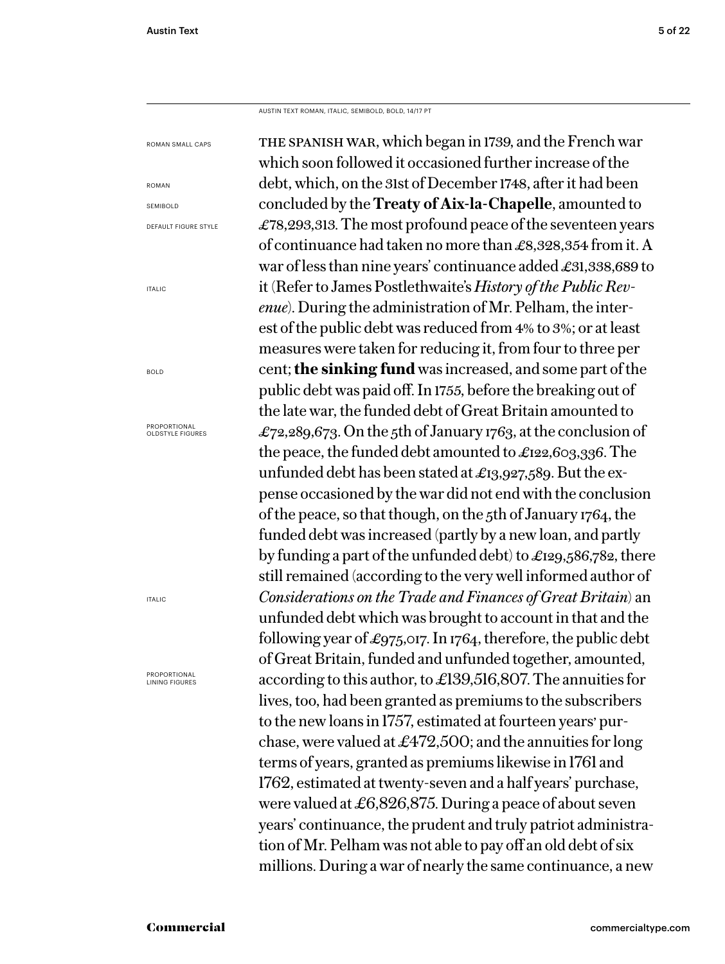ITALIC

BOLD

ITALIC

AUSTIN TEXT ROMAN, ITALIC, SEMIBOLD, BOLD, 14/17 PT

the spanish war, which began in 1739, and the French war which soon followed it occasioned further increase of the debt, which, on the 31st of December 1748, after it had been concluded by the **Treaty of Aix-la-Chapelle**, amounted to £78,293,313. The most profound peace of the seventeen years of continuance had taken no more than £8,328,354 from it. A war of less than nine years' continuance added £31,338,689 to it (Refer to James Postlethwaite's *History of the Public Revenue*). During the administration of Mr. Pelham, the interest of the public debt was reduced from 4% to 3%; or at least measures were taken for reducing it, from four to three per cent; **the sinking fund** was increased, and some part of the public debt was paid off. In 1755, before the breaking out of the late war, the funded debt of Great Britain amounted to £72,289,673. On the 5th of January 1763, at the conclusion of the peace, the funded debt amounted to £122,603,336. The unfunded debt has been stated at £13,927,589. But the expense occasioned by the war did not end with the conclusion of the peace, so that though, on the 5th of January 1764, the funded debt was increased (partly by a new loan, and partly by funding a part of the unfunded debt) to £129,586,782, there still remained (according to the very well informed author of *Considerations on the Trade and Finances of Great Britain*) an unfunded debt which was brought to account in that and the following year of £975,017. In 1764, therefore, the public debt of Great Britain, funded and unfunded together, amounted, according to this author, to £139,516,807. The annuities for lives, too, had been granted as premiums to the subscribers to the new loans in 1757, estimated at fourteen years' purchase, were valued at  $£472,500$ ; and the annuities for long terms of years, granted as premiums likewise in 1761 and 1762, estimated at twenty-seven and a half years' purchase, were valued at £6,826,875. During a peace of about seven years' continuance, the prudent and truly patriot administration of Mr. Pelham was not able to pay off an old debt of six millions. During a war of nearly the same continuance, a new ROMAN SMALL CAPS ROMAN SEMIBOLD DEFAULT FIGURE STYLE **PROPORTIONAL** OLDSTYLE FIGURES PROPORTIONAL LINING FIGURES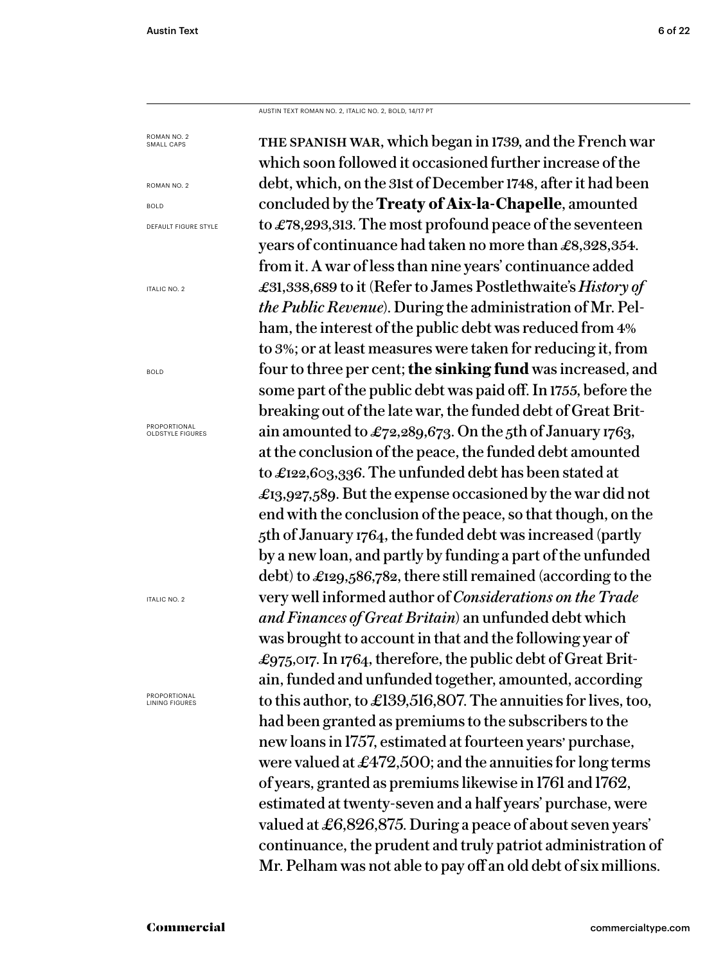BOLD

BOLD

AUSTIN TEXT ROMAN NO. 2, ITALIC NO. 2, BOLD, 14/17 PT

the spanish war, which began in 1739, and the French war which soon followed it occasioned further increase of the debt, which, on the 31st of December 1748, after it had been concluded by the **Treaty of Aix-la-Chapelle**, amounted to £78,293,313. The most profound peace of the seventeen years of continuance had taken no more than £8,328,354. from it. A war of less than nine years' continuance added £31,338,689 to it (Refer to James Postlethwaite's *History of the Public Revenue*). During the administration of Mr. Pelham, the interest of the public debt was reduced from 4% to 3%; or at least measures were taken for reducing it, from four to three per cent; **the sinking fund** was increased, and some part of the public debt was paid off. In 1755, before the breaking out of the late war, the funded debt of Great Britain amounted to £72,289,673. On the 5th of January 1763, at the conclusion of the peace, the funded debt amounted to £122,603,336. The unfunded debt has been stated at £13,927,589. But the expense occasioned by the war did not end with the conclusion of the peace, so that though, on the 5th of January 1764, the funded debt was increased (partly by a new loan, and partly by funding a part of the unfunded debt) to £129,586,782, there still remained (according to the very well informed author of *Considerations on the Trade and Finances of Great Britain*) an unfunded debt which was brought to account in that and the following year of £975,017. In 1764, therefore, the public debt of Great Britain, funded and unfunded together, amounted, according to this author, to £139,516,807. The annuities for lives, too, had been granted as premiums to the subscribers to the new loans in 1757, estimated at fourteen years' purchase, were valued at £472,500; and the annuities for long terms of years, granted as premiums likewise in 1761 and 1762, estimated at twenty-seven and a half years' purchase, were valued at £6,826,875. During a peace of about seven years' continuance, the prudent and truly patriot administration of Mr. Pelham was not able to pay off an old debt of six millions. ROMAN NO. 2 SMALL CAPS ROMAN NO. 2 DEFAULT FIGURE STYLE ITALIC NO. 2 **PROPORTIONAL** OLDSTYLE FIGURES ITALIC NO. 2 PROPORTIONAL LINING FIGURES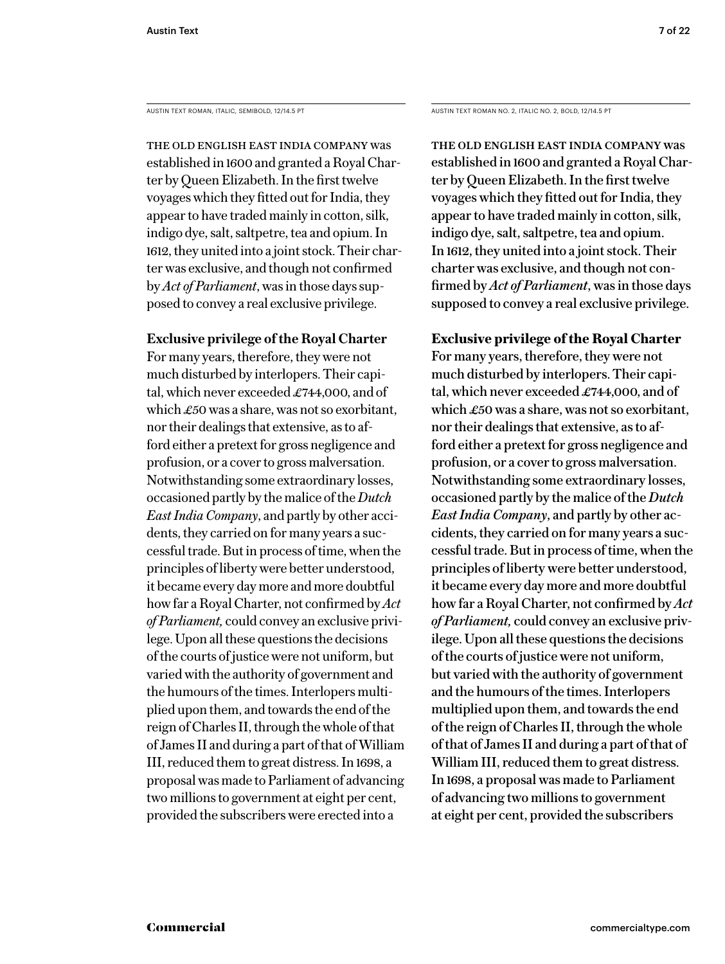The old English East India Company was established in 1600 and granted a Royal Charter by Queen Elizabeth. In the first twelve voyages which they fitted out for India, they appear to have traded mainly in cotton, silk, indigo dye, salt, saltpetre, tea and opium. In 1612, they united into a joint stock. Their charter was exclusive, and though not confirmed by *Act of Parliament*, was in those days supposed to convey a real exclusive privilege.

### **Exclusive privilege of the Royal Charter**

For many years, therefore, they were not much disturbed by interlopers. Their capital, which never exceeded £744,000, and of which £50 was a share, was not so exorbitant, nor their dealings that extensive, as to afford either a pretext for gross negligence and profusion, or a cover to gross malversation. Notwithstanding some extraordinary losses, occasioned partly by the malice of the *Dutch East India Company*, and partly by other accidents, they carried on for many years a successful trade. But in process of time, when the principles of liberty were better understood, it became every day more and more doubtful how far a Royal Charter, not confirmed by *Act of Parliament,* could convey an exclusive privilege. Upon all these questions the decisions of the courts of justice were not uniform, but varied with the authority of government and the humours of the times. Interlopers multiplied upon them, and towards the end of the reign of Charles II, through the whole of that of James II and during a part of that of William III, reduced them to great distress. In 1698, a proposal was made to Parliament of advancing two millions to government at eight per cent, provided the subscribers were erected into a

AUSTIN TEXT ROMAN, ITALIC, SEMIBOLD, 12/14.5 PT AUSTIN TEXT ROMAN NO. 2, ITALIC NO. 2, BOLD, 12/14.5 PT

The old English East India Company was established in 1600 and granted a Royal Charter by Queen Elizabeth. In the first twelve voyages which they fitted out for India, they appear to have traded mainly in cotton, silk, indigo dye, salt, saltpetre, tea and opium. In 1612, they united into a joint stock. Their charter was exclusive, and though not confirmed by *Act of Parliament*, was in those days supposed to convey a real exclusive privilege.

## **Exclusive privilege of the Royal Charter**

For many years, therefore, they were not much disturbed by interlopers. Their capital, which never exceeded £744,000, and of which £50 was a share, was not so exorbitant, nor their dealings that extensive, as to afford either a pretext for gross negligence and profusion, or a cover to gross malversation. Notwithstanding some extraordinary losses, occasioned partly by the malice of the *Dutch East India Company*, and partly by other accidents, they carried on for many years a successful trade. But in process of time, when the principles of liberty were better understood, it became every day more and more doubtful how far a Royal Charter, not confirmed by *Act of Parliament,* could convey an exclusive privilege. Upon all these questions the decisions of the courts of justice were not uniform, but varied with the authority of government and the humours of the times. Interlopers multiplied upon them, and towards the end of the reign of Charles II, through the whole of that of James II and during a part of that of William III, reduced them to great distress. In 1698, a proposal was made to Parliament of advancing two millions to government at eight per cent, provided the subscribers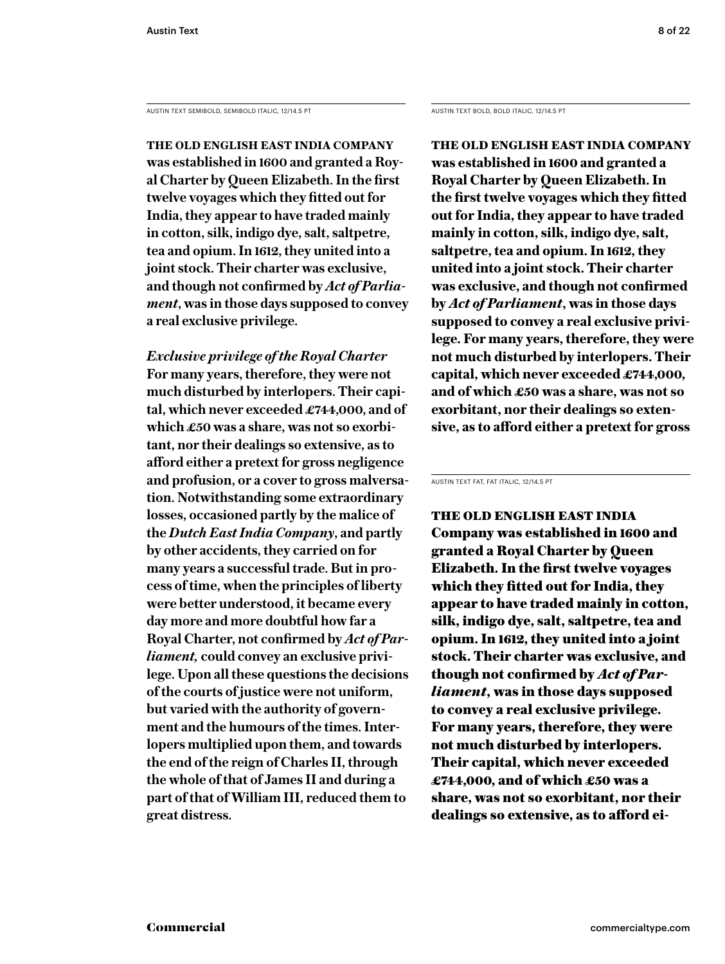AUSTIN TEXT SEMIBOLD, SEMIBOLD ITALIC, 12/14.5 PT AUSTIN TEXT BOLD, BOLD ITALIC, 12/14.5 PT

**The old English East India Company was established in 1600 and granted a Royal Charter by Queen Elizabeth. In the first twelve voyages which they fitted out for India, they appear to have traded mainly in cotton, silk, indigo dye, salt, saltpetre, tea and opium. In 1612, they united into a joint stock. Their charter was exclusive, and though not confirmed by** *Act of Parliament***, was in those days supposed to convey a real exclusive privilege.** 

*Exclusive privilege of the Royal Charter* **For many years, therefore, they were not much disturbed by interlopers. Their capital, which never exceeded £744,000, and of which £50 was a share, was not so exorbitant, nor their dealings so extensive, as to afford either a pretext for gross negligence and profusion, or a cover to gross malversation. Notwithstanding some extraordinary losses, occasioned partly by the malice of the** *Dutch East India Company***, and partly by other accidents, they carried on for many years a successful trade. But in process of time, when the principles of liberty were better understood, it became every day more and more doubtful how far a Royal Charter, not confirmed by** *Act of Parliament,* **could convey an exclusive privilege. Upon all these questions the decisions of the courts of justice were not uniform, but varied with the authority of government and the humours of the times. Interlopers multiplied upon them, and towards the end of the reign of Charles II, through the whole of that of James II and during a part of that of William III, reduced them to great distress.**

**The old English East India Company was established in 1600 and granted a Royal Charter by Queen Elizabeth. In the first twelve voyages which they fitted out for India, they appear to have traded mainly in cotton, silk, indigo dye, salt, saltpetre, tea and opium. In 1612, they united into a joint stock. Their charter was exclusive, and though not confirmed by** *Act of Parliament***, was in those days supposed to convey a real exclusive privilege. For many years, therefore, they were not much disturbed by interlopers. Their capital, which never exceeded £744,000, and of which £50 was a share, was not so exorbitant, nor their dealings so extensive, as to afford either a pretext for gross** 

AUSTIN TEXT FAT, FAT ITALIC, 12/14.5 PT

The old English East India Company was established in 1600 and granted a Royal Charter by Queen Elizabeth. In the first twelve voyages which they fitted out for India, they appear to have traded mainly in cotton, silk, indigo dye, salt, saltpetre, tea and opium. In 1612, they united into a joint stock. Their charter was exclusive, and though not confirmed by *Act of Parliament*, was in those days supposed to convey a real exclusive privilege. For many years, therefore, they were not much disturbed by interlopers. Their capital, which never exceeded £744,000, and of which £50 was a share, was not so exorbitant, nor their dealings so extensive, as to afford ei-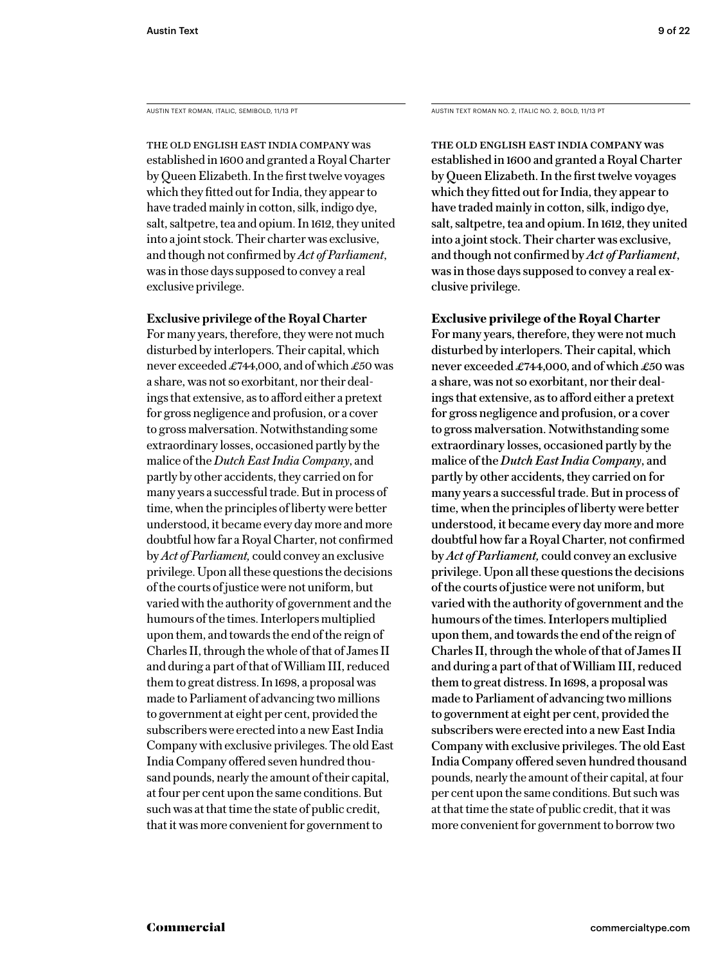The old English East India Company was established in 1600 and granted a Royal Charter by Queen Elizabeth. In the first twelve voyages which they fitted out for India, they appear to have traded mainly in cotton, silk, indigo dye, salt, saltpetre, tea and opium. In 1612, they united into a joint stock. Their charter was exclusive, and though not confirmed by *Act of Parliament*, was in those days supposed to convey a real exclusive privilege.

#### **Exclusive privilege of the Royal Charter**

For many years, therefore, they were not much disturbed by interlopers. Their capital, which never exceeded £744,000, and of which £50 was a share, was not so exorbitant, nor their dealings that extensive, as to afford either a pretext for gross negligence and profusion, or a cover to gross malversation. Notwithstanding some extraordinary losses, occasioned partly by the malice of the *Dutch East India Company*, and partly by other accidents, they carried on for many years a successful trade. But in process of time, when the principles of liberty were better understood, it became every day more and more doubtful how far a Royal Charter, not confirmed by *Act of Parliament,* could convey an exclusive privilege. Upon all these questions the decisions of the courts of justice were not uniform, but varied with the authority of government and the humours of the times. Interlopers multiplied upon them, and towards the end of the reign of Charles II, through the whole of that of James II and during a part of that of William III, reduced them to great distress. In 1698, a proposal was made to Parliament of advancing two millions to government at eight per cent, provided the subscribers were erected into a new East India Company with exclusive privileges. The old East India Company offered seven hundred thousand pounds, nearly the amount of their capital, at four per cent upon the same conditions. But such was at that time the state of public credit, that it was more convenient for government to

AUSTIN TEXT ROMAN, ITALIC, SEMIBOLD, 11/13 PT AUSTIN TEXT ROMAN NO. 2, ITALIC NO. 2, BOLD, 11/13 PT

The old English East India Company was established in 1600 and granted a Royal Charter by Queen Elizabeth. In the first twelve voyages which they fitted out for India, they appear to have traded mainly in cotton, silk, indigo dye, salt, saltpetre, tea and opium. In 1612, they united into a joint stock. Their charter was exclusive, and though not confirmed by *Act of Parliament*, was in those days supposed to convey a real exclusive privilege.

#### **Exclusive privilege of the Royal Charter**

For many years, therefore, they were not much disturbed by interlopers. Their capital, which never exceeded £744,000, and of which £50 was a share, was not so exorbitant, nor their dealings that extensive, as to afford either a pretext for gross negligence and profusion, or a cover to gross malversation. Notwithstanding some extraordinary losses, occasioned partly by the malice of the *Dutch East India Company*, and partly by other accidents, they carried on for many years a successful trade. But in process of time, when the principles of liberty were better understood, it became every day more and more doubtful how far a Royal Charter, not confirmed by *Act of Parliament,* could convey an exclusive privilege. Upon all these questions the decisions of the courts of justice were not uniform, but varied with the authority of government and the humours of the times. Interlopers multiplied upon them, and towards the end of the reign of Charles II, through the whole of that of James II and during a part of that of William III, reduced them to great distress. In 1698, a proposal was made to Parliament of advancing two millions to government at eight per cent, provided the subscribers were erected into a new East India Company with exclusive privileges. The old East India Company offered seven hundred thousand pounds, nearly the amount of their capital, at four per cent upon the same conditions. But such was at that time the state of public credit, that it was more convenient for government to borrow two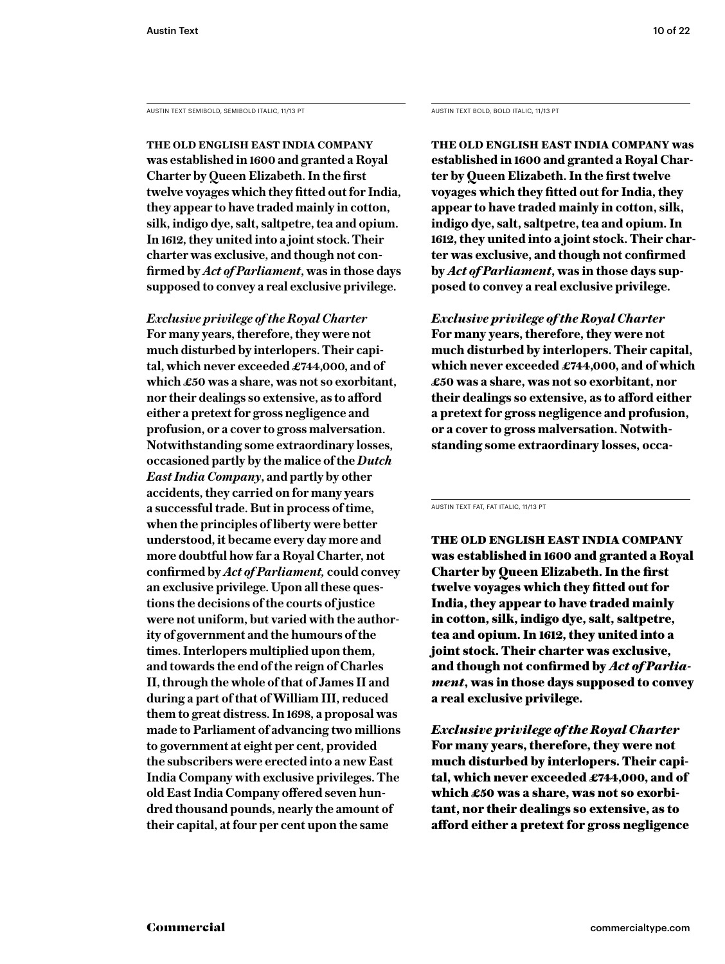AUSTIN TEXT SEMIBOLD, SEMIBOLD ITALIC, 11/13 PT AUSTIN TEXT BOLD, BOLD ITALIC, 11/13 PT

**The old English East India Company was established in 1600 and granted a Royal Charter by Queen Elizabeth. In the first twelve voyages which they fitted out for India, they appear to have traded mainly in cotton, silk, indigo dye, salt, saltpetre, tea and opium. In 1612, they united into a joint stock. Their charter was exclusive, and though not confirmed by** *Act of Parliament***, was in those days supposed to convey a real exclusive privilege.** 

*Exclusive privilege of the Royal Charter* **For many years, therefore, they were not much disturbed by interlopers. Their capital, which never exceeded £744,000, and of which £50 was a share, was not so exorbitant, nor their dealings so extensive, as to afford either a pretext for gross negligence and profusion, or a cover to gross malversation. Notwithstanding some extraordinary losses, occasioned partly by the malice of the** *Dutch East India Company***, and partly by other accidents, they carried on for many years a successful trade. But in process of time, when the principles of liberty were better understood, it became every day more and more doubtful how far a Royal Charter, not confirmed by** *Act of Parliament,* **could convey an exclusive privilege. Upon all these questions the decisions of the courts of justice were not uniform, but varied with the authority of government and the humours of the times. Interlopers multiplied upon them, and towards the end of the reign of Charles II, through the whole of that of James II and during a part of that of William III, reduced them to great distress. In 1698, a proposal was made to Parliament of advancing two millions to government at eight per cent, provided the subscribers were erected into a new East India Company with exclusive privileges. The old East India Company offered seven hundred thousand pounds, nearly the amount of their capital, at four per cent upon the same** 

**The old English East India Company was established in 1600 and granted a Royal Charter by Queen Elizabeth. In the first twelve voyages which they fitted out for India, they appear to have traded mainly in cotton, silk, indigo dye, salt, saltpetre, tea and opium. In 1612, they united into a joint stock. Their charter was exclusive, and though not confirmed by** *Act of Parliament***, was in those days supposed to convey a real exclusive privilege.** 

*Exclusive privilege of the Royal Charter* **For many years, therefore, they were not much disturbed by interlopers. Their capital, which never exceeded £744,000, and of which £50 was a share, was not so exorbitant, nor their dealings so extensive, as to afford either a pretext for gross negligence and profusion, or a cover to gross malversation. Notwithstanding some extraordinary losses, occa-**

AUSTIN TEXT FAT, FAT ITALIC, 11/13 PT

The old English East India Company was established in 1600 and granted a Royal Charter by Queen Elizabeth. In the first twelve voyages which they fitted out for India, they appear to have traded mainly in cotton, silk, indigo dye, salt, saltpetre, tea and opium. In 1612, they united into a joint stock. Their charter was exclusive, and though not confirmed by *Act of Parliament*, was in those days supposed to convey a real exclusive privilege.

*Exclusive privilege of the Royal Charter* For many years, therefore, they were not much disturbed by interlopers. Their capital, which never exceeded £744,000, and of which £50 was a share, was not so exorbitant, nor their dealings so extensive, as to afford either a pretext for gross negligence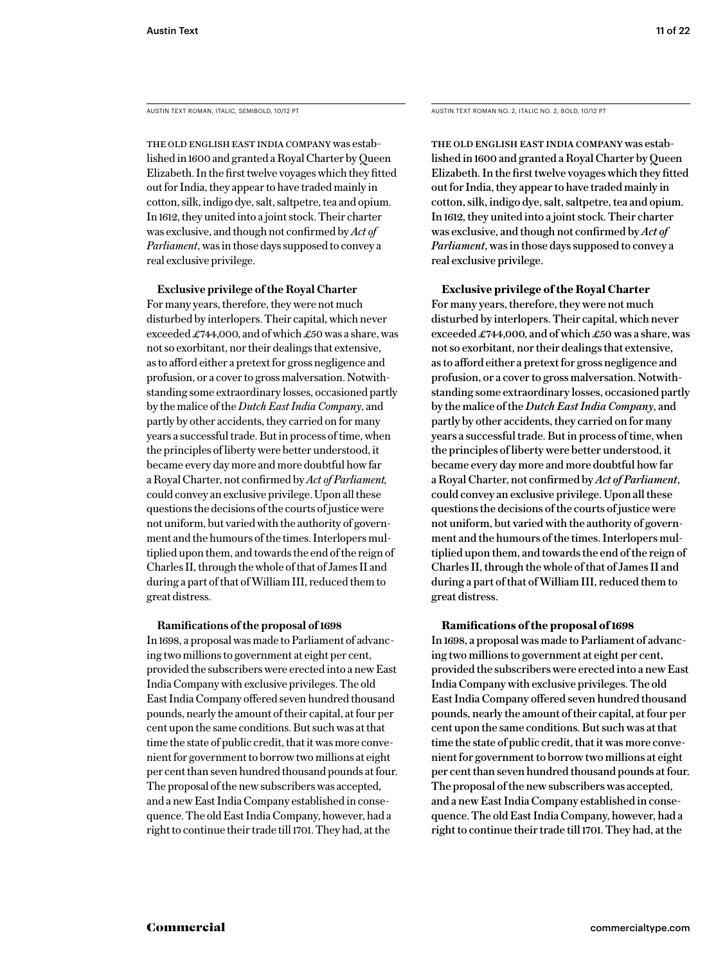AUSTIN TEXT ROMAN, ITALIC, SEMIBOLD, 10/12 PT AUSTIN TEXT ROMAN NO. 2, ITALIC NO. 2, BOLD, 10/12 PT

The old English East India Company was established in 1600 and granted a Royal Charter by Queen Elizabeth. In the first twelve voyages which they fitted out for India, they appear to have traded mainly in cotton, silk, indigo dye, salt, saltpetre, tea and opium. In 1612, they united into a joint stock. Their charter was exclusive, and though not confirmed by *Act of Parliament*, was in those days supposed to convey a real exclusive privilege.

**Exclusive privilege of the Royal Charter** For many years, therefore, they were not much disturbed by interlopers. Their capital, which never exceeded  $\pounds$ 744,000, and of which  $\pounds$ 50 was a share, was not so exorbitant, nor their dealings that extensive, as to afford either a pretext for gross negligence and profusion, or a cover to gross malversation. Notwithstanding some extraordinary losses, occasioned partly by the malice of the *Dutch East India Company*, and partly by other accidents, they carried on for many years a successful trade. But in process of time, when the principles of liberty were better understood, it became every day more and more doubtful how far a Royal Charter, not confirmed by *Act of Parliament,* could convey an exclusive privilege. Upon all these questions the decisions of the courts of justice were not uniform, but varied with the authority of government and the humours of the times. Interlopers multiplied upon them, and towards the end of the reign of Charles II, through the whole of that of James II and during a part of that of William III, reduced them to great distress.

#### **Ramifications of the proposal of 1698**

In 1698, a proposal was made to Parliament of advancing two millions to government at eight per cent, provided the subscribers were erected into a new East India Company with exclusive privileges. The old East India Company offered seven hundred thousand pounds, nearly the amount of their capital, at four per cent upon the same conditions. But such was at that time the state of public credit, that it was more convenient for government to borrow two millions at eight per cent than seven hundred thousand pounds at four. The proposal of the new subscribers was accepted, and a new East India Company established in consequence. The old East India Company, however, had a right to continue their trade till 1701. They had, at the

The old English East India Company was established in 1600 and granted a Royal Charter by Queen Elizabeth. In the first twelve voyages which they fitted out for India, they appear to have traded mainly in cotton, silk, indigo dye, salt, saltpetre, tea and opium. In 1612, they united into a joint stock. Their charter was exclusive, and though not confirmed by *Act of Parliament*, was in those days supposed to convey a real exclusive privilege.

**Exclusive privilege of the Royal Charter**

For many years, therefore, they were not much disturbed by interlopers. Their capital, which never exceeded £744,000, and of which £50 was a share, was not so exorbitant, nor their dealings that extensive, as to afford either a pretext for gross negligence and profusion, or a cover to gross malversation. Notwithstanding some extraordinary losses, occasioned partly by the malice of the *Dutch East India Company*, and partly by other accidents, they carried on for many years a successful trade. But in process of time, when the principles of liberty were better understood, it became every day more and more doubtful how far a Royal Charter, not confirmed by *Act of Parliament*, could convey an exclusive privilege. Upon all these questions the decisions of the courts of justice were not uniform, but varied with the authority of government and the humours of the times. Interlopers multiplied upon them, and towards the end of the reign of Charles II, through the whole of that of James II and during a part of that of William III, reduced them to great distress.

#### **Ramifications of the proposal of 1698**

In 1698, a proposal was made to Parliament of advancing two millions to government at eight per cent, provided the subscribers were erected into a new East India Company with exclusive privileges. The old East India Company offered seven hundred thousand pounds, nearly the amount of their capital, at four per cent upon the same conditions. But such was at that time the state of public credit, that it was more convenient for government to borrow two millions at eight per cent than seven hundred thousand pounds at four. The proposal of the new subscribers was accepted, and a new East India Company established in consequence. The old East India Company, however, had a right to continue their trade till 1701. They had, at the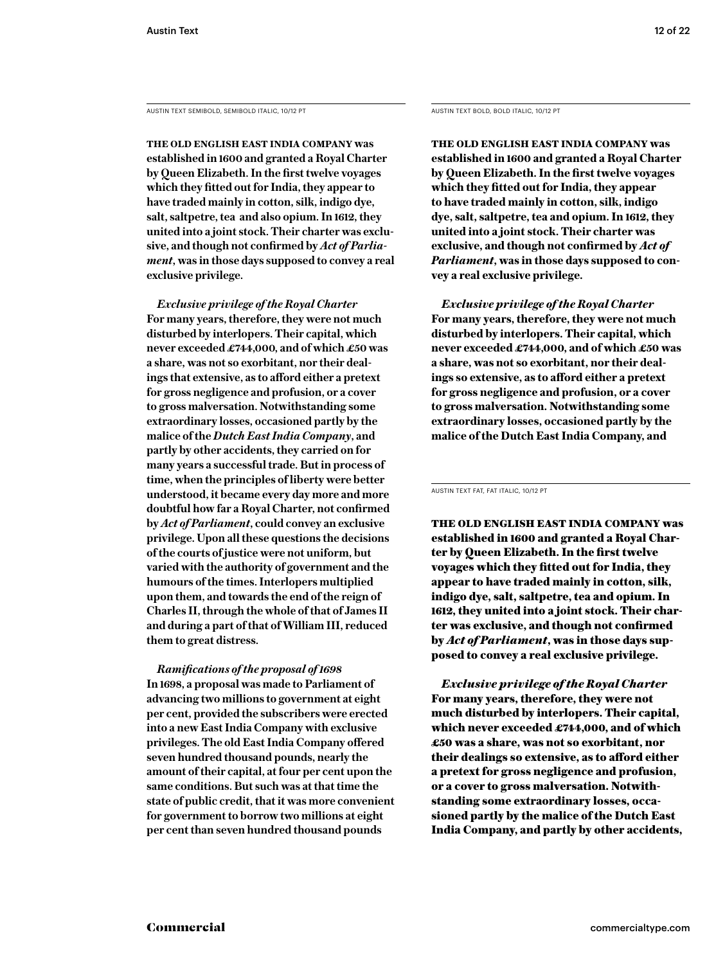AUSTIN TEXT SEMIBOLD, SEMIBOLD ITALIC, 10/12 PT AUSTIN TEXT BOLD, BOLD ITALIC, 10/12 PT

**The old English East India Company was established in 1600 and granted a Royal Charter by Queen Elizabeth. In the first twelve voyages which they fitted out for India, they appear to have traded mainly in cotton, silk, indigo dye, salt, saltpetre, tea and also opium. In 1612, they united into a joint stock. Their charter was exclusive, and though not confirmed by** *Act of Parliament***, was in those days supposed to convey a real exclusive privilege.** 

*Exclusive privilege of the Royal Charter* **For many years, therefore, they were not much disturbed by interlopers. Their capital, which never exceeded £744,000, and of which £50 was a share, was not so exorbitant, nor their dealings that extensive, as to afford either a pretext for gross negligence and profusion, or a cover to gross malversation. Notwithstanding some extraordinary losses, occasioned partly by the malice of the** *Dutch East India Company***, and partly by other accidents, they carried on for many years a successful trade. But in process of time, when the principles of liberty were better understood, it became every day more and more doubtful how far a Royal Charter, not confirmed by** *Act of Parliament***, could convey an exclusive privilege. Upon all these questions the decisions of the courts of justice were not uniform, but varied with the authority of government and the humours of the times. Interlopers multiplied upon them, and towards the end of the reign of Charles II, through the whole of that of James II and during a part of that of William III, reduced them to great distress.**

*Ramifications of the proposal of 1698* **In 1698, a proposal was made to Parliament of advancing two millions to government at eight per cent, provided the subscribers were erected into a new East India Company with exclusive privileges. The old East India Company offered seven hundred thousand pounds, nearly the amount of their capital, at four per cent upon the same conditions. But such was at that time the state of public credit, that it was more convenient for government to borrow two millions at eight per cent than seven hundred thousand pounds** 

**The old English East India Company was established in 1600 and granted a Royal Charter by Queen Elizabeth. In the first twelve voyages which they fitted out for India, they appear to have traded mainly in cotton, silk, indigo dye, salt, saltpetre, tea and opium. In 1612, they united into a joint stock. Their charter was exclusive, and though not confirmed by** *Act of Parliament***, was in those days supposed to convey a real exclusive privilege.** 

*Exclusive privilege of the Royal Charter* **For many years, therefore, they were not much disturbed by interlopers. Their capital, which never exceeded £744,000, and of which £50 was a share, was not so exorbitant, nor their dealings so extensive, as to afford either a pretext for gross negligence and profusion, or a cover to gross malversation. Notwithstanding some extraordinary losses, occasioned partly by the malice of the Dutch East India Company, and** 

AUSTIN TEXT FAT, FAT ITALIC, 10/12 PT

The old English East India Company was established in 1600 and granted a Royal Charter by Queen Elizabeth. In the first twelve voyages which they fitted out for India, they appear to have traded mainly in cotton, silk, indigo dye, salt, saltpetre, tea and opium. In 1612, they united into a joint stock. Their charter was exclusive, and though not confirmed by *Act of Parliament*, was in those days supposed to convey a real exclusive privilege.

*Exclusive privilege of the Royal Charter* For many years, therefore, they were not much disturbed by interlopers. Their capital, which never exceeded £744,000, and of which £50 was a share, was not so exorbitant, nor their dealings so extensive, as to afford either a pretext for gross negligence and profusion, or a cover to gross malversation. Notwithstanding some extraordinary losses, occasioned partly by the malice of the Dutch East India Company, and partly by other accidents,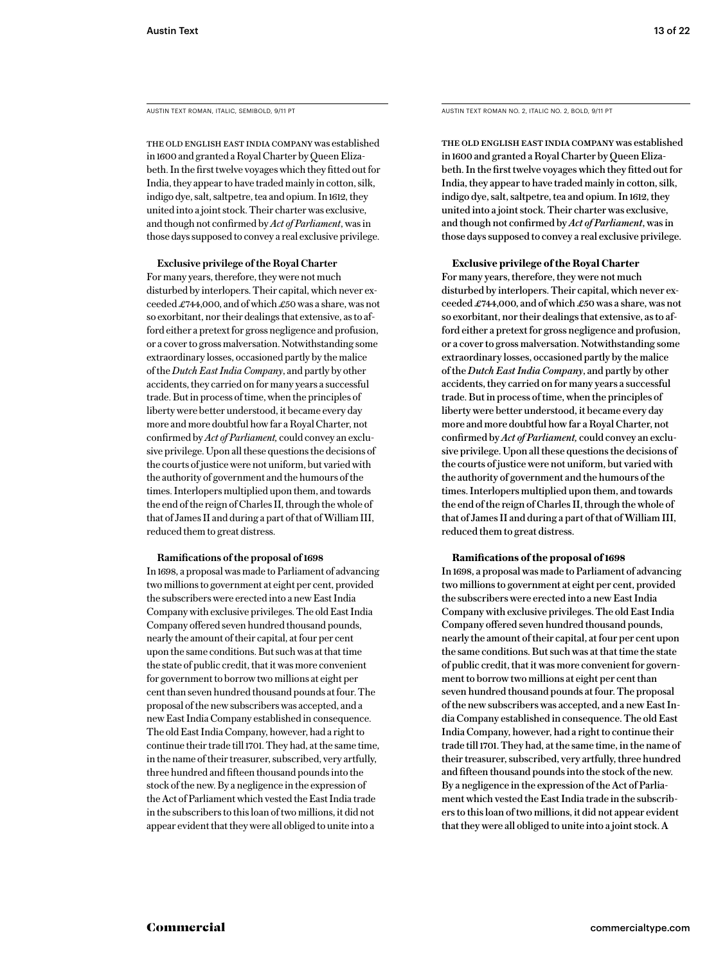The old English East India Company was established in 1600 and granted a Royal Charter by Queen Elizabeth. In the first twelve voyages which they fitted out for India, they appear to have traded mainly in cotton, silk, indigo dye, salt, saltpetre, tea and opium. In 1612, they united into a joint stock. Their charter was exclusive, and though not confirmed by *Act of Parliament*, was in those days supposed to convey a real exclusive privilege.

#### **Exclusive privilege of the Royal Charter**

For many years, therefore, they were not much disturbed by interlopers. Their capital, which never exceeded £744,000, and of which £50 was a share, was not so exorbitant, nor their dealings that extensive, as to afford either a pretext for gross negligence and profusion, or a cover to gross malversation. Notwithstanding some extraordinary losses, occasioned partly by the malice of the *Dutch East India Company*, and partly by other accidents, they carried on for many years a successful trade. But in process of time, when the principles of liberty were better understood, it became every day more and more doubtful how far a Royal Charter, not confirmed by *Act of Parliament,* could convey an exclusive privilege. Upon all these questions the decisions of the courts of justice were not uniform, but varied with the authority of government and the humours of the times. Interlopers multiplied upon them, and towards the end of the reign of Charles II, through the whole of that of James II and during a part of that of William III, reduced them to great distress.

#### **Ramifications of the proposal of 1698**

In 1698, a proposal was made to Parliament of advancing two millions to government at eight per cent, provided the subscribers were erected into a new East India Company with exclusive privileges. The old East India Company offered seven hundred thousand pounds, nearly the amount of their capital, at four per cent upon the same conditions. But such was at that time the state of public credit, that it was more convenient for government to borrow two millions at eight per cent than seven hundred thousand pounds at four. The proposal of the new subscribers was accepted, and a new East India Company established in consequence. The old East India Company, however, had a right to continue their trade till 1701. They had, at the same time, in the name of their treasurer, subscribed, very artfully, three hundred and fifteen thousand pounds into the stock of the new. By a negligence in the expression of the Act of Parliament which vested the East India trade in the subscribers to this loan of two millions, it did not appear evident that they were all obliged to unite into a

AUSTIN TEXT ROMAN, ITALIC, SEMIBOLD, 9/11 PT AUSTIN TEXT ROMAN NO. 2, ITALIC NO. 2, BOLD, 9/11 PT

The old English East India Company was established in 1600 and granted a Royal Charter by Queen Elizabeth. In the first twelve voyages which they fitted out for India, they appear to have traded mainly in cotton, silk, indigo dye, salt, saltpetre, tea and opium. In 1612, they united into a joint stock. Their charter was exclusive, and though not confirmed by *Act of Parliament*, was in those days supposed to convey a real exclusive privilege.

#### **Exclusive privilege of the Royal Charter**

For many years, therefore, they were not much disturbed by interlopers. Their capital, which never exceeded £744,000, and of which £50 was a share, was not so exorbitant, nor their dealings that extensive, as to afford either a pretext for gross negligence and profusion, or a cover to gross malversation. Notwithstanding some extraordinary losses, occasioned partly by the malice of the *Dutch East India Company*, and partly by other accidents, they carried on for many years a successful trade. But in process of time, when the principles of liberty were better understood, it became every day more and more doubtful how far a Royal Charter, not confirmed by *Act of Parliament,* could convey an exclusive privilege. Upon all these questions the decisions of the courts of justice were not uniform, but varied with the authority of government and the humours of the times. Interlopers multiplied upon them, and towards the end of the reign of Charles II, through the whole of that of James II and during a part of that of William III, reduced them to great distress.

#### **Ramifications of the proposal of 1698**

In 1698, a proposal was made to Parliament of advancing two millions to government at eight per cent, provided the subscribers were erected into a new East India Company with exclusive privileges. The old East India Company offered seven hundred thousand pounds, nearly the amount of their capital, at four per cent upon the same conditions. But such was at that time the state of public credit, that it was more convenient for government to borrow two millions at eight per cent than seven hundred thousand pounds at four. The proposal of the new subscribers was accepted, and a new East India Company established in consequence. The old East India Company, however, had a right to continue their trade till 1701. They had, at the same time, in the name of their treasurer, subscribed, very artfully, three hundred and fifteen thousand pounds into the stock of the new. By a negligence in the expression of the Act of Parliament which vested the East India trade in the subscribers to this loan of two millions, it did not appear evident that they were all obliged to unite into a joint stock. A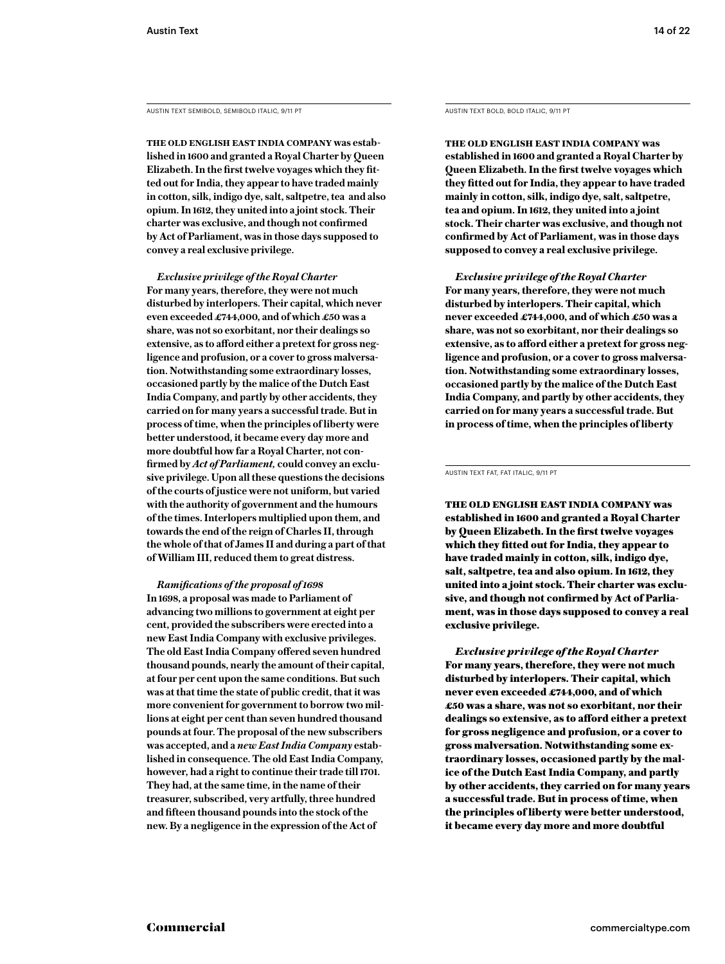AUSTIN TEXT SEMIBOLD, SEMIBOLD ITALIC, 9/11 PT AUSTIN TEXT BOLD, BOLD ITALIC, 9/11 PT

**The old English East India Company was established in 1600 and granted a Royal Charter by Queen Elizabeth. In the first twelve voyages which they fitted out for India, they appear to have traded mainly in cotton, silk, indigo dye, salt, saltpetre, tea and also opium. In 1612, they united into a joint stock. Their charter was exclusive, and though not confirmed by Act of Parliament, was in those days supposed to convey a real exclusive privilege.** 

*Exclusive privilege of the Royal Charter* **For many years, therefore, they were not much disturbed by interlopers. Their capital, which never even exceeded £744,000, and of which £50 was a share, was not so exorbitant, nor their dealings so extensive, as to afford either a pretext for gross negligence and profusion, or a cover to gross malversation. Notwithstanding some extraordinary losses, occasioned partly by the malice of the Dutch East India Company, and partly by other accidents, they carried on for many years a successful trade. But in process of time, when the principles of liberty were better understood, it became every day more and more doubtful how far a Royal Charter, not confirmed by** *Act of Parliament,* **could convey an exclusive privilege. Upon all these questions the decisions of the courts of justice were not uniform, but varied with the authority of government and the humours of the times. Interlopers multiplied upon them, and towards the end of the reign of Charles II, through the whole of that of James II and during a part of that of William III, reduced them to great distress.**

*Ramifications of the proposal of 1698* **In 1698, a proposal was made to Parliament of advancing two millions to government at eight per cent, provided the subscribers were erected into a new East India Company with exclusive privileges. The old East India Company offered seven hundred thousand pounds, nearly the amount of their capital, at four per cent upon the same conditions. But such was at that time the state of public credit, that it was more convenient for government to borrow two millions at eight per cent than seven hundred thousand pounds at four. The proposal of the new subscribers was accepted, and a** *new East India Company* **established in consequence. The old East India Company, however, had a right to continue their trade till 1701. They had, at the same time, in the name of their treasurer, subscribed, very artfully, three hundred and fifteen thousand pounds into the stock of the new. By a negligence in the expression of the Act of** 

**The old English East India Company was established in 1600 and granted a Royal Charter by Queen Elizabeth. In the first twelve voyages which they fitted out for India, they appear to have traded mainly in cotton, silk, indigo dye, salt, saltpetre, tea and opium. In 1612, they united into a joint stock. Their charter was exclusive, and though not confirmed by Act of Parliament, was in those days supposed to convey a real exclusive privilege.** 

*Exclusive privilege of the Royal Charter* **For many years, therefore, they were not much disturbed by interlopers. Their capital, which never exceeded £744,000, and of which £50 was a share, was not so exorbitant, nor their dealings so extensive, as to afford either a pretext for gross negligence and profusion, or a cover to gross malversation. Notwithstanding some extraordinary losses, occasioned partly by the malice of the Dutch East India Company, and partly by other accidents, they carried on for many years a successful trade. But in process of time, when the principles of liberty** 

AUSTIN TEXT FAT, FAT ITALIC, 9/11 PT

The old English East India Company was established in 1600 and granted a Royal Charter by Queen Elizabeth. In the first twelve voyages which they fitted out for India, they appear to have traded mainly in cotton, silk, indigo dye, salt, saltpetre, tea and also opium. In 1612, they united into a joint stock. Their charter was exclusive, and though not confirmed by Act of Parliament, was in those days supposed to convey a real exclusive privilege.

*Exclusive privilege of the Royal Charter* For many years, therefore, they were not much disturbed by interlopers. Their capital, which never even exceeded £744,000, and of which £50 was a share, was not so exorbitant, nor their dealings so extensive, as to afford either a pretext for gross negligence and profusion, or a cover to gross malversation. Notwithstanding some extraordinary losses, occasioned partly by the malice of the Dutch East India Company, and partly by other accidents, they carried on for many years a successful trade. But in process of time, when the principles of liberty were better understood, it became every day more and more doubtful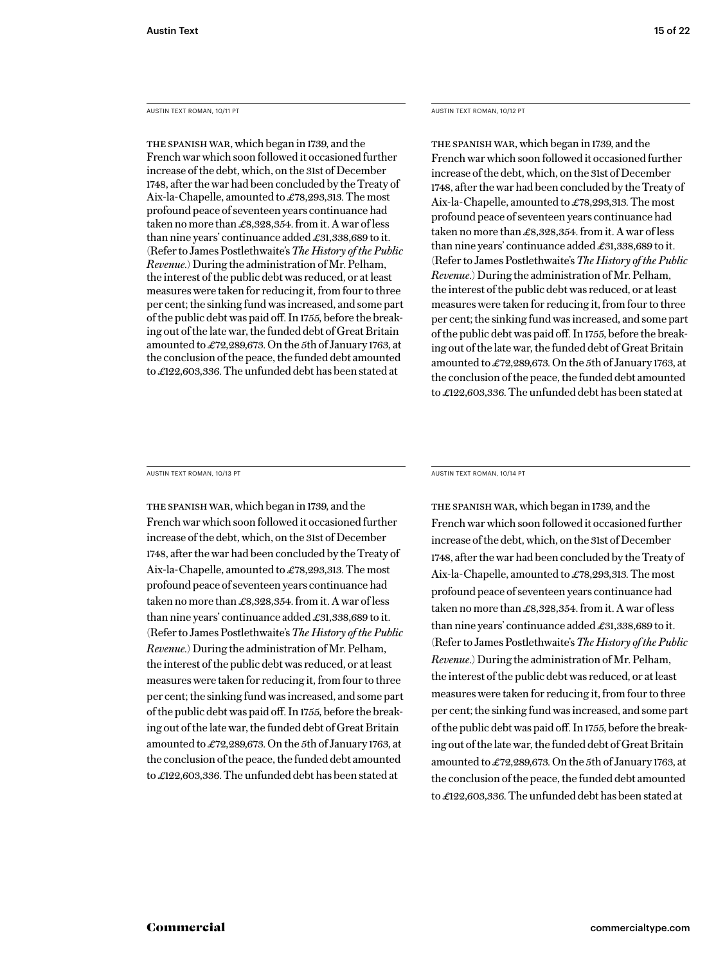AUSTIN TEXT ROMAN, 10/11 PT

The Spanish war, which began in 1739, and the French war which soon followed it occasioned further increase of the debt, which, on the 31st of December 1748, after the war had been concluded by the Treaty of Aix-la-Chapelle, amounted to £78,293,313. The most profound peace of seventeen years continuance had taken no more than £8,328,354. from it. A war of less than nine years' continuance added £31,338,689 to it. (Refer to James Postlethwaite's *The History of the Public Revenue.*) During the administration of Mr. Pelham, the interest of the public debt was reduced, or at least measures were taken for reducing it, from four to three per cent; the sinking fund was increased, and some part of the public debt was paid off. In 1755, before the breaking out of the late war, the funded debt of Great Britain amounted to £72,289,673. On the 5th of January 1763, at the conclusion of the peace, the funded debt amounted to £122,603,336. The unfunded debt has been stated at

AUSTIN TEXT ROMAN, 10/12 PT

The Spanish war, which began in 1739, and the French war which soon followed it occasioned further increase of the debt, which, on the 31st of December 1748, after the war had been concluded by the Treaty of Aix-la-Chapelle, amounted to £78,293,313. The most profound peace of seventeen years continuance had taken no more than £8,328,354. from it. A war of less than nine years' continuance added £31,338,689 to it. (Refer to James Postlethwaite's *The History of the Public Revenue.*) During the administration of Mr. Pelham, the interest of the public debt was reduced, or at least measures were taken for reducing it, from four to three per cent; the sinking fund was increased, and some part of the public debt was paid off. In 1755, before the breaking out of the late war, the funded debt of Great Britain amounted to £72,289,673. On the 5th of January 1763, at the conclusion of the peace, the funded debt amounted to £122,603,336. The unfunded debt has been stated at

AUSTIN TEXT ROMAN, 10/13 PT

The Spanish war, which began in 1739, and the French war which soon followed it occasioned further increase of the debt, which, on the 31st of December 1748, after the war had been concluded by the Treaty of Aix-la-Chapelle, amounted to £78,293,313. The most profound peace of seventeen years continuance had taken no more than £8,328,354. from it. A war of less than nine years' continuance added £31,338,689 to it. (Refer to James Postlethwaite's *The History of the Public Revenue.*) During the administration of Mr. Pelham, the interest of the public debt was reduced, or at least measures were taken for reducing it, from four to three per cent; the sinking fund was increased, and some part of the public debt was paid off. In 1755, before the breaking out of the late war, the funded debt of Great Britain amounted to £72,289,673. On the 5th of January 1763, at the conclusion of the peace, the funded debt amounted to £122,603,336. The unfunded debt has been stated at

AUSTIN TEXT ROMAN, 10/14 PT

The Spanish war, which began in 1739, and the French war which soon followed it occasioned further increase of the debt, which, on the 31st of December 1748, after the war had been concluded by the Treaty of Aix-la-Chapelle, amounted to £78,293,313. The most profound peace of seventeen years continuance had taken no more than £8,328,354. from it. A war of less than nine years' continuance added £31,338,689 to it. (Refer to James Postlethwaite's *The History of the Public Revenue.*) During the administration of Mr. Pelham, the interest of the public debt was reduced, or at least measures were taken for reducing it, from four to three per cent; the sinking fund was increased, and some part of the public debt was paid off. In 1755, before the breaking out of the late war, the funded debt of Great Britain amounted to £72,289,673. On the 5th of January 1763, at the conclusion of the peace, the funded debt amounted to £122,603,336. The unfunded debt has been stated at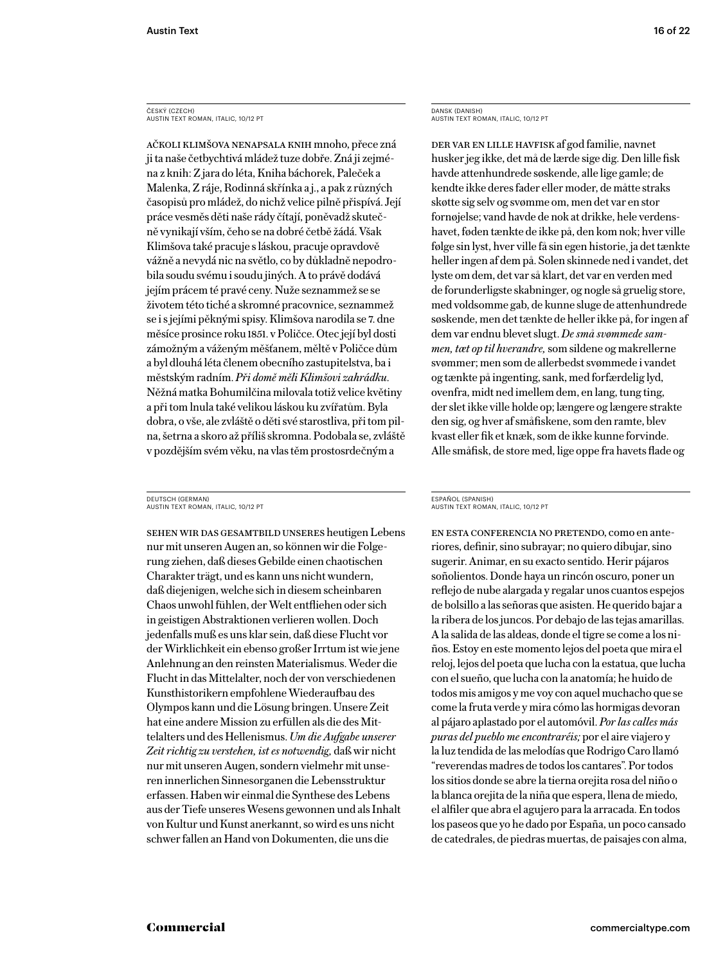#### ČESKÝ (CZECH) AUSTIN TEXT ROMAN, ITALIC, 10/12 PT

ačkoli klimšova nenapsala knih mnoho, přece zná ji ta naše četbychtivá mládež tuze dobře. Zná ji zejména z knih: Z jara do léta, Kniha báchorek, Paleček a Malenka, Z ráje, Rodinná skřínka a j., a pak z různých časopisů pro mládež, do nichž velice pilně přispívá. Její práce vesměs děti naše rády čítají, poněvadž skutečně vynikají vším, čeho se na dobré četbě žádá. Však Klimšova také pracuje s láskou, pracuje opravdově vážně a nevydá nic na světlo, co by důkladně nepodrobila soudu svému i soudu jiných. A to právě dodává jejím prácem té pravé ceny. Nuže seznammež se se životem této tiché a skromné pracovnice, seznammež se i s jejími pěknými spisy. Klimšova narodila se 7. dne měsíce prosince roku 1851. v Poličce. Otec její byl dosti zámožným a váženým měšťanem, měltě v Poličce dům a byl dlouhá léta členem obecního zastupitelstva, ba i městským radním. *Při domě měli Klimšovi zahrádku.*  Něžná matka Bohumilčina milovala totiž velice květiny a při tom lnula také velikou láskou ku zvířatům. Byla dobra, o vše, ale zvláště o děti své starostliva, při tom pilna, šetrna a skoro až příliš skromna. Podobala se, zvláště v pozdějším svém věku, na vlas těm prostosrdečným a

#### DEUTSCH (GERMAN) AUSTIN TEXT ROMAN, ITALIC, 10/12 PT

Sehen wir das Gesamtbild unseres heutigen Lebens nur mit unseren Augen an, so können wir die Folgerung ziehen, daß dieses Gebilde einen chaotischen Charakter trägt, und es kann uns nicht wundern, daß diejenigen, welche sich in diesem scheinbaren Chaos unwohl fühlen, der Welt entfliehen oder sich in geistigen Abstraktionen verlieren wollen. Doch jedenfalls muß es uns klar sein, daß diese Flucht vor der Wirklichkeit ein ebenso großer Irrtum ist wie jene Anlehnung an den reinsten Materialismus. Weder die Flucht in das Mittelalter, noch der von verschiedenen Kunsthistorikern empfohlene Wiederaufbau des Olympos kann und die Lösung bringen. Unsere Zeit hat eine andere Mission zu erfüllen als die des Mittelalters und des Hellenismus. *Um die Aufgabe unserer Zeit richtig zu verstehen, ist es notwendig,* daß wir nicht nur mit unseren Augen, sondern vielmehr mit unseren innerlichen Sinnesorganen die Lebensstruktur erfassen. Haben wir einmal die Synthese des Lebens aus der Tiefe unseres Wesens gewonnen und als Inhalt von Kultur und Kunst anerkannt, so wird es uns nicht schwer fallen an Hand von Dokumenten, die uns die

DANSK (DANISH) AUSTIN TEXT ROMAN, ITALIC, 10/12 PT

Der var en lille havfisk af god familie, navnet husker jeg ikke, det må de lærde sige dig. Den lille fisk havde attenhundrede søskende, alle lige gamle; de kendte ikke deres fader eller moder, de måtte straks skøtte sig selv og svømme om, men det var en stor fornøjelse; vand havde de nok at drikke, hele verdenshavet, føden tænkte de ikke på, den kom nok; hver ville følge sin lyst, hver ville få sin egen historie, ja det tænkte heller ingen af dem på. Solen skinnede ned i vandet, det lyste om dem, det var så klart, det var en verden med de forunderligste skabninger, og nogle så gruelig store, med voldsomme gab, de kunne sluge de attenhundrede søskende, men det tænkte de heller ikke på, for ingen af dem var endnu blevet slugt. *De små svømmede sammen, tæt op til hverandre,* som sildene og makrellerne svømmer; men som de allerbedst svømmede i vandet og tænkte på ingenting, sank, med forfærdelig lyd, ovenfra, midt ned imellem dem, en lang, tung ting, der slet ikke ville holde op; længere og længere strakte den sig, og hver af småfiskene, som den ramte, blev kvast eller fik et knæk, som de ikke kunne forvinde. Alle småfisk, de store med, lige oppe fra havets flade og

#### ESPAÑOL (SPANISH) AUSTIN TEXT ROMAN, ITALIC, 10/12 PT

En esta conferencia no pretendo, como en anteriores, definir, sino subrayar; no quiero dibujar, sino sugerir. Animar, en su exacto sentido. Herir pájaros soñolientos. Donde haya un rincón oscuro, poner un reflejo de nube alargada y regalar unos cuantos espejos de bolsillo a las señoras que asisten. He querido bajar a la ribera de los juncos. Por debajo de las tejas amarillas. A la salida de las aldeas, donde el tigre se come a los niños. Estoy en este momento lejos del poeta que mira el reloj, lejos del poeta que lucha con la estatua, que lucha con el sueño, que lucha con la anatomía; he huido de todos mis amigos y me voy con aquel muchacho que se come la fruta verde y mira cómo las hormigas devoran al pájaro aplastado por el automóvil. *Por las calles más puras del pueblo me encontraréis;* por el aire viajero y la luz tendida de las melodías que Rodrigo Caro llamó "reverendas madres de todos los cantares". Por todos los sitios donde se abre la tierna orejita rosa del niño o la blanca orejita de la niña que espera, llena de miedo, el alfiler que abra el agujero para la arracada. En todos los paseos que yo he dado por España, un poco cansado de catedrales, de piedras muertas, de paisajes con alma,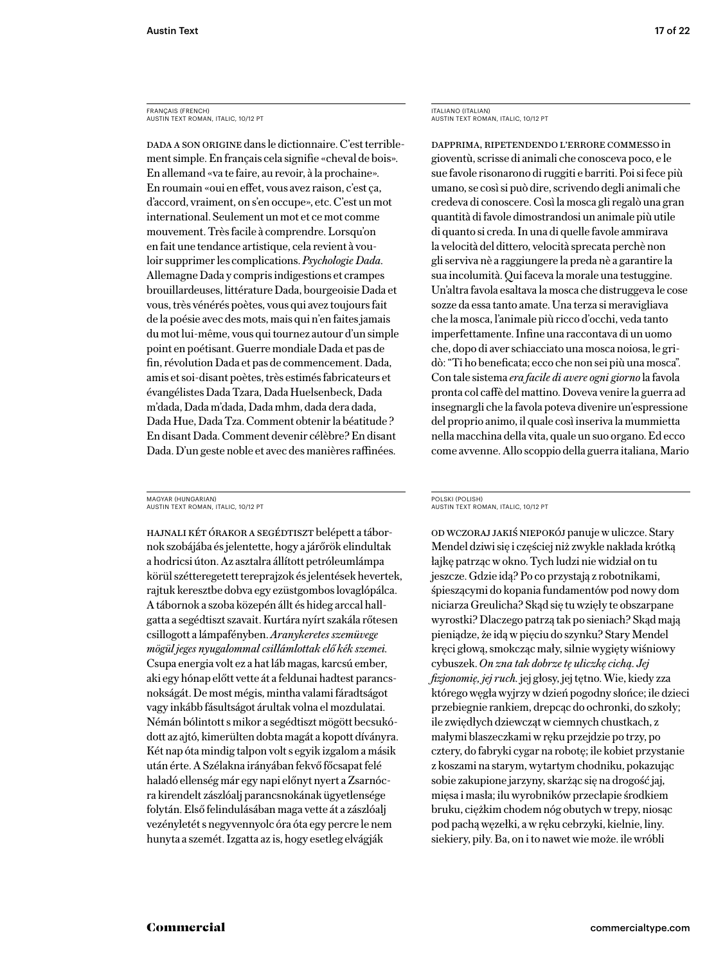#### FRANÇAIS (FRENCH) AUSTIN TEXT ROMAN, ITALIC, 10/12 PT

Dada a son origine dans le dictionnaire. C'est terriblement simple. En français cela signifie «cheval de bois». En allemand «va te faire, au revoir, à la prochaine». En roumain «oui en effet, vous avez raison, c'est ça, d'accord, vraiment, on s'en occupe», etc. C'est un mot international. Seulement un mot et ce mot comme mouvement. Très facile à comprendre. Lorsqu'on en fait une tendance artistique, cela revient à vouloir supprimer les complications. *Psychologie Dada.* Allemagne Dada y compris indigestions et crampes brouillardeuses, littérature Dada, bourgeoisie Dada et vous, très vénérés poètes, vous qui avez toujours fait de la poésie avec des mots, mais qui n'en faites jamais du mot lui-même, vous qui tournez autour d'un simple point en poétisant. Guerre mondiale Dada et pas de fin, révolution Dada et pas de commencement. Dada, amis et soi-disant poètes, très estimés fabricateurs et évangélistes Dada Tzara, Dada Huelsenbeck, Dada m'dada, Dada m'dada, Dada mhm, dada dera dada, Dada Hue, Dada Tza. Comment obtenir la béatitude ? En disant Dada. Comment devenir célèbre? En disant Dada. D'un geste noble et avec des manières raffinées.

#### MAGYAR (HUNGARIAN) AUSTIN TEXT ROMAN, ITALIC, 10/12 PT

Hajnali két órakor a segédtiszt belépett a tábornok szobájába és jelentette, hogy a járőrök elindultak a hodricsi úton. Az asztalra állított petróleumlámpa körül szétteregetett tereprajzok és jelentések hevertek, rajtuk keresztbe dobva egy ezüstgombos lovaglópálca. A tábornok a szoba közepén állt és hideg arccal hallgatta a segédtiszt szavait. Kurtára nyírt szakála rőtesen csillogott a lámpafényben. *Aranykeretes szemüvege mögül jeges nyugalommal csillámlottak elő kék szemei.* Csupa energia volt ez a hat láb magas, karcsú ember, aki egy hónap előtt vette át a feldunai hadtest parancsnokságát. De most mégis, mintha valami fáradtságot vagy inkább fásultságot árultak volna el mozdulatai. Némán bólintott s mikor a segédtiszt mögött becsukódott az ajtó, kimerülten dobta magát a kopott díványra. Két nap óta mindig talpon volt s egyik izgalom a másik után érte. A Szélakna irányában fekvő főcsapat felé haladó ellenség már egy napi előnyt nyert a Zsarnócra kirendelt zászlóalj parancsnokának ügyetlensége folytán. Első felindulásában maga vette át a zászlóalj vezényletét s negyvennyolc óra óta egy percre le nem hunyta a szemét. Izgatta az is, hogy esetleg elvágják

ITALIANO (ITALIAN) AUSTIN TEXT ROMAN, ITALIC, 10/12 PT

Dapprima, ripetendendo l'errore commesso in gioventù, scrisse di animali che conosceva poco, e le sue favole risonarono di ruggiti e barriti. Poi si fece più umano, se così si può dire, scrivendo degli animali che credeva di conoscere. Così la mosca gli regalò una gran quantità di favole dimostrandosi un animale più utile di quanto si creda. In una di quelle favole ammirava la velocità del dittero, velocità sprecata perchè non gli serviva nè a raggiungere la preda nè a garantire la sua incolumità. Qui faceva la morale una testuggine. Un'altra favola esaltava la mosca che distruggeva le cose sozze da essa tanto amate. Una terza si meravigliava che la mosca, l'animale più ricco d'occhi, veda tanto imperfettamente. Infine una raccontava di un uomo che, dopo di aver schiacciato una mosca noiosa, le gridò: "Ti ho beneficata; ecco che non sei più una mosca". Con tale sistema *era facile di avere ogni giorno* la favola pronta col caffè del mattino. Doveva venire la guerra ad insegnargli che la favola poteva divenire un'espressione del proprio animo, il quale così inseriva la mummietta nella macchina della vita, quale un suo organo. Ed ecco come avvenne. Allo scoppio della guerra italiana, Mario

#### POLSKI (POLISH) AUSTIN TEXT ROMAN, ITALIC, 10/12 PT

od wczoraj jakiś niepokój panuje w uliczce. Stary Mendel dziwi się i częściej niż zwykle nakłada krótką łajkę patrząc w okno. Tych ludzi nie widział on tu jeszcze. Gdzie idą? Po co przystają z robotnikami, śpieszącymi do kopania fundamentów pod nowy dom niciarza Greulicha? Skąd się tu wzięły te obszarpane wyrostki? Dlaczego patrzą tak po sieniach? Skąd mają pieniądze, że idą w pięciu do szynku? Stary Mendel kręci głową, smokcząc mały, silnie wygięty wiśniowy cybuszek. *On zna tak dobrze tę uliczkę cichą. Jej fizjonomię, jej ruch.* jej głosy, jej tętno. Wie, kiedy zza którego węgła wyjrzy w dzień pogodny słońce; ile dzieci przebiegnie rankiem, drepcąc do ochronki, do szkoły; ile zwiędłych dziewcząt w ciemnych chustkach, z małymi blaszeczkami w ręku przejdzie po trzy, po cztery, do fabryki cygar na robotę; ile kobiet przystanie z koszami na starym, wytartym chodniku, pokazując sobie zakupione jarzyny, skarżąc się na drogość jaj, mięsa i masła; ilu wyrobników przecłapie środkiem bruku, ciężkim chodem nóg obutych w trepy, niosąc pod pachą węzełki, a w ręku cebrzyki, kielnie, liny. siekiery, piły. Ba, on i to nawet wie może. ile wróbli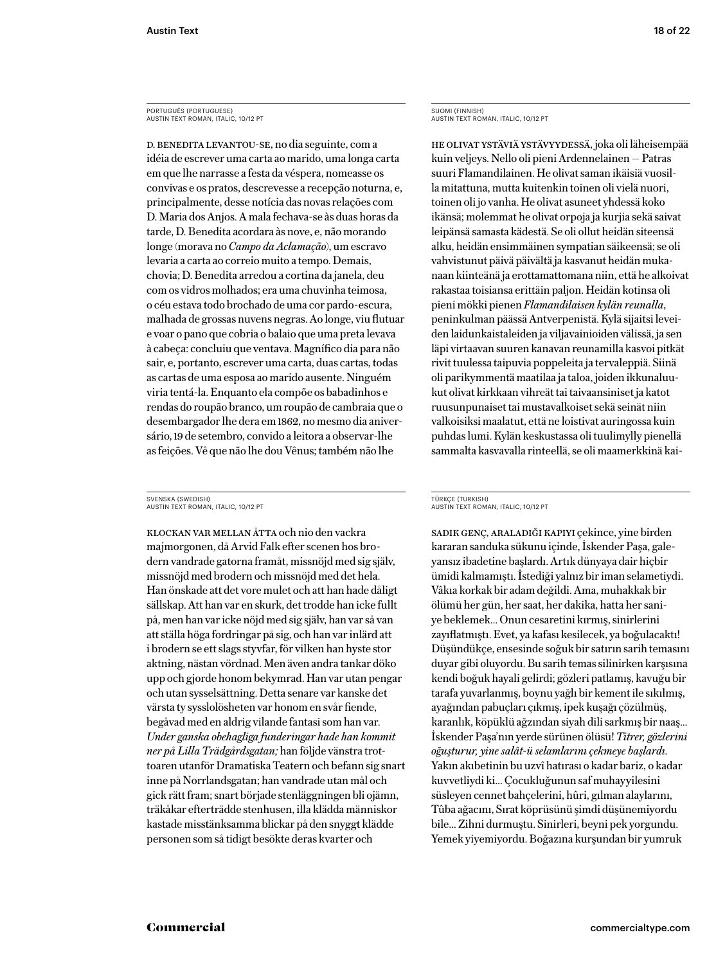PORTUGUÊS (PORTUGUESE) AUSTIN TEXT ROMAN, ITALIC, 10/12 PT

D. Benedita levantou-se, no dia seguinte, com a idéia de escrever uma carta ao marido, uma longa carta em que lhe narrasse a festa da véspera, nomeasse os convivas e os pratos, descrevesse a recepção noturna, e, principalmente, desse notícia das novas relações com D. Maria dos Anjos. A mala fechava-se às duas horas da tarde, D. Benedita acordara às nove, e, não morando longe (morava no *Campo da Aclamação*), um escravo levaria a carta ao correio muito a tempo. Demais, chovia; D. Benedita arredou a cortina da janela, deu com os vidros molhados; era uma chuvinha teimosa, o céu estava todo brochado de uma cor pardo-escura, malhada de grossas nuvens negras. Ao longe, viu flutuar e voar o pano que cobria o balaio que uma preta levava à cabeça: concluiu que ventava. Magnífico dia para não sair, e, portanto, escrever uma carta, duas cartas, todas as cartas de uma esposa ao marido ausente. Ninguém viria tentá-la. Enquanto ela compõe os babadinhos e rendas do roupão branco, um roupão de cambraia que o desembargador lhe dera em 1862, no mesmo dia aniversário, 19 de setembro, convido a leitora a observar-lhe as feições. Vê que não lhe dou Vênus; também não lhe

#### SVENSKA (SWEDISH) AUSTIN TEXT ROMAN, ITALIC, 10/12 PT

Klockan var mellan åtta och nio den vackra majmorgonen, då Arvid Falk efter scenen hos brodern vandrade gatorna framåt, missnöjd med sig själv, missnöjd med brodern och missnöjd med det hela. Han önskade att det vore mulet och att han hade dåligt sällskap. Att han var en skurk, det trodde han icke fullt på, men han var icke nöjd med sig själv, han var så van att ställa höga fordringar på sig, och han var inlärd att i brodern se ett slags styvfar, för vilken han hyste stor aktning, nästan vördnad. Men även andra tankar döko upp och gjorde honom bekymrad. Han var utan pengar och utan sysselsättning. Detta senare var kanske det värsta ty sysslolösheten var honom en svår fiende, begåvad med en aldrig vilande fantasi som han var. *Under ganska obehagliga funderingar hade han kommit ner på Lilla Trädgårdsgatan;* han följde vänstra trottoaren utanför Dramatiska Teatern och befann sig snart inne på Norrlandsgatan; han vandrade utan mål och gick rätt fram; snart började stenläggningen bli ojämn, träkåkar efterträdde stenhusen, illa klädda människor kastade misstänksamma blickar på den snyggt klädde personen som så tidigt besökte deras kvarter och

SUOMI (FINNISH) AUSTIN TEXT ROMAN, ITALIC, 10/12 PT

He olivat ystäviä ystävyydessä, joka oli läheisempää kuin veljeys. Nello oli pieni Ardennelainen — Patras suuri Flamandilainen. He olivat saman ikäisiä vuosilla mitattuna, mutta kuitenkin toinen oli vielä nuori, toinen oli jo vanha. He olivat asuneet yhdessä koko ikänsä; molemmat he olivat orpoja ja kurjia sekä saivat leipänsä samasta kädestä. Se oli ollut heidän siteensä alku, heidän ensimmäinen sympatian säikeensä; se oli vahvistunut päivä päivältä ja kasvanut heidän mukanaan kiinteänä ja erottamattomana niin, että he alkoivat rakastaa toisiansa erittäin paljon. Heidän kotinsa oli pieni mökki pienen *Flamandilaisen kylän reunalla*, peninkulman päässä Antverpenistä. Kylä sijaitsi leveiden laidunkaistaleiden ja viljavainioiden välissä, ja sen läpi virtaavan suuren kanavan reunamilla kasvoi pitkät rivit tuulessa taipuvia poppeleita ja tervaleppiä. Siinä oli parikymmentä maatilaa ja taloa, joiden ikkunaluukut olivat kirkkaan vihreät tai taivaansiniset ja katot ruusunpunaiset tai mustavalkoiset sekä seinät niin valkoisiksi maalatut, että ne loistivat auringossa kuin puhdas lumi. Kylän keskustassa oli tuulimylly pienellä sammalta kasvavalla rinteellä, se oli maamerkkinä kai-

#### TÜRKÇE (TURKISH) AUSTIN TEXT ROMAN, ITALIC, 10/12 PT

Sadık genç, araladığı kapıyı çekince, yine birden kararan sanduka sükunu içinde, İskender Paşa, galeyansız ibadetine başlardı. Artık dünyaya dair hiçbir ümidi kalmamıştı. İstediği yalnız bir iman selametiydi. Vâkıa korkak bir adam değildi. Ama, muhakkak bir ölümü her gün, her saat, her dakika, hatta her saniye beklemek… Onun cesaretini kırmış, sinirlerini zayıflatmıştı. Evet, ya kafası kesilecek, ya boğulacaktı! Düşündükçe, ensesinde soğuk bir satırın sarih temasını duyar gibi oluyordu. Bu sarih temas silinirken karşısına kendi boğuk hayali gelirdi; gözleri patlamış, kavuğu bir tarafa yuvarlanmış, boynu yağlı bir kement ile sıkılmış, ayağından pabuçları çıkmış, ipek kuşağı çözülmüş, karanlık, köpüklü ağzından siyah dili sarkmış bir naaş… İskender Paşa'nın yerde sürünen ölüsü! *Titrer, gözlerini oğuşturur, yine salât-ü selamlarını çekmeye başlardı.* Yakın akıbetinin bu uzvî hatırası o kadar bariz, o kadar kuvvetliydi ki… Çocukluğunun saf muhayyilesini süsleyen cennet bahçelerini, hûri, gılman alaylarını, Tûba ağacını, Sırat köprüsünü şimdi düşünemiyordu bile… Zihni durmuştu. Sinirleri, beyni pek yorgundu. Yemek yiyemiyordu. Boğazına kurşundan bir yumruk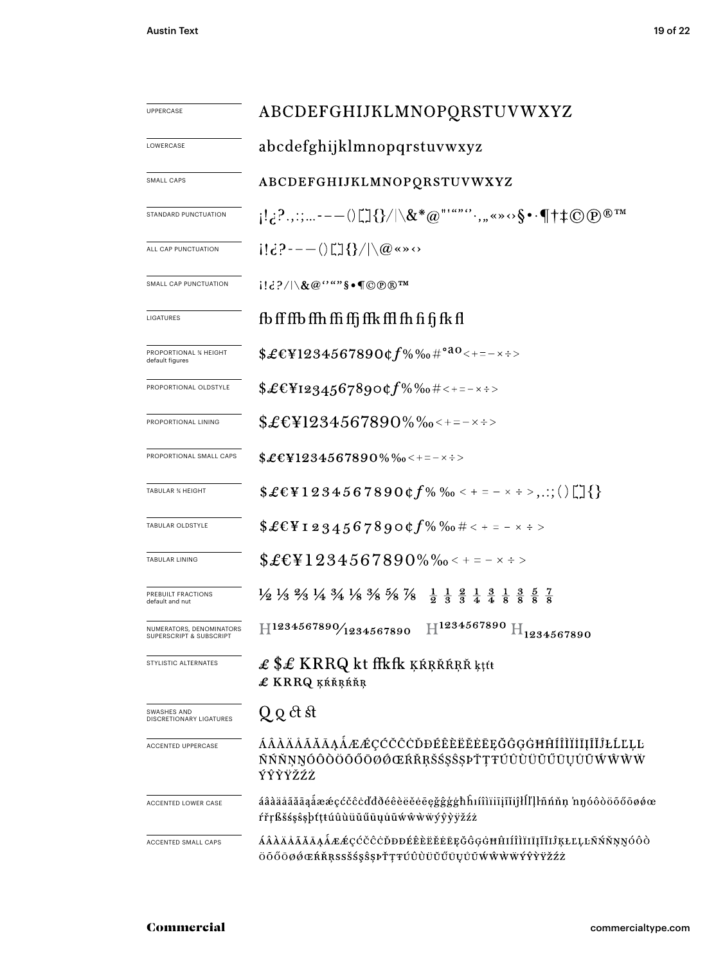| UPPERCASE                                           | ABCDEFGHIJKLMNOPQRSTUVWXYZ                                                                                                                                                                                                                                  |  |  |  |  |
|-----------------------------------------------------|-------------------------------------------------------------------------------------------------------------------------------------------------------------------------------------------------------------------------------------------------------------|--|--|--|--|
| LOWERCASE                                           | abcdefghijklmnopqrstuvwxyz                                                                                                                                                                                                                                  |  |  |  |  |
| SMALL CAPS                                          | ABCDEFGHIJKLMNOPQRSTUVWXYZ                                                                                                                                                                                                                                  |  |  |  |  |
| STANDARD PUNCTUATION                                | $\{1,2^2,2^2,\ldots---(1)^{n-1}\}\}/\chi^*(\alpha^{n+1},\ldots,\alpha^{n}\circ\beta^{n}\cdot\P^{\dagger}+\odot\Phi^{\otimes n}\pi^{n})$                                                                                                                     |  |  |  |  |
| ALL CAP PUNCTUATION                                 | $(16)^2$ ---() $\Box$ {}/ \@«»                                                                                                                                                                                                                              |  |  |  |  |
| SMALL CAP PUNCTUATION                               | $i!d? / \mathcal{R} @``"$ § $\bullet \mathsf{T} @ @\mathbb{R}^{\mathsf{T} \mathsf{M}}$                                                                                                                                                                      |  |  |  |  |
| LIGATURES                                           | fb ff ffb ffh ffi ffj ffk ffl fh fi fj fk fl                                                                                                                                                                                                                |  |  |  |  |
| PROPORTIONAL ¾ HEIGHT<br>default figures            | $$£EY1234567890¢f\%%$ <sub>0</sub> #° <sup>a0</sup> <+=-×÷>                                                                                                                                                                                                 |  |  |  |  |
| PROPORTIONAL OLDSTYLE                               | $$£EY1234567890$ cf%‰#<+=-×÷>                                                                                                                                                                                                                               |  |  |  |  |
| PROPORTIONAL LINING                                 | $$£EY1234567890\%$ %% < + = - x + >                                                                                                                                                                                                                         |  |  |  |  |
| PROPORTIONAL SMALL CAPS                             | $$£EY1234567890\%$ %o < + = - x ÷ >                                                                                                                                                                                                                         |  |  |  |  |
| <b>TABULAR % HEIGHT</b>                             | $$£EY1234567890$ $¢$ $f%$ $%o$ < + = - x ÷ >,.:; ()                                                                                                                                                                                                         |  |  |  |  |
| TABULAR OLDSTYLE                                    | $$£EY_12345678900f\%$ %0 # < + = - × ÷ >                                                                                                                                                                                                                    |  |  |  |  |
| TABULAR LINING                                      | $$£EY1234567890\%$ % $\textdegree$ < + = - $\times$ ÷ >                                                                                                                                                                                                     |  |  |  |  |
| PREBUILT FRACTIONS<br>default and nut               | $\frac{1}{2}$ $\frac{1}{3}$ $\frac{2}{3}$ $\frac{1}{4}$ $\frac{3}{4}$ $\frac{1}{8}$ $\frac{3}{8}$ $\frac{5}{8}$ $\frac{7}{8}$ $\frac{8}{8}$ $\frac{5}{8}$ $\frac{7}{8}$ $\frac{1}{8}$ $\frac{3}{8}$ $\frac{1}{8}$ $\frac{3}{8}$ $\frac{5}{8}$ $\frac{7}{8}$ |  |  |  |  |
| NUMERATORS, DENOMINATORS<br>SUPERSCRIPT & SUBSCRIPT | $\rm{H^{1234567890}\,H_{1234567890}}$<br>H1234567890/1234567890                                                                                                                                                                                             |  |  |  |  |
| STYLISTIC ALTERNATES                                | £ \$£ KRRQ kt ffkfk ķŕrřárř ktít<br>£ KRRQ ĶŔŘŖŔŘŖ                                                                                                                                                                                                          |  |  |  |  |
| SWASHES AND<br><b>DISCRETIONARY LIGATURES</b>       | Q Q ct st                                                                                                                                                                                                                                                   |  |  |  |  |
| ACCENTED UPPERCASE                                  | ÁÂÀÄÅÃĂĀĄÅÆÆÇĆČĈĊĎĐÉÊÈËĔĔĒĘĞĜGĠĦĤÍÎÌÏĪĮĨĬĴŁĹĽĻĿ<br>ŇŃŇŅŊÓÔŎŎŐŐŎØŎŒŔŘŖŠŚŞŜŖĎŢŦÚÛÙŬŬŰŪŲŮŨŴŴŴŴ<br>ÝŶŸŸŽŹŻ                                                                                                                                                      |  |  |  |  |
| ACCENTED LOWER CASE                                 | áâàäåãăāąåææçćčĉċďđðéêèëĕēęğĝģġħĥıíîìïiīįĩĭiĵłĺľḷŀñńňņ 'nŋóôòöõőōøǿœ<br>ŕřŗßšśşŝşþťţŧúûùüŭűūųůũẃŵẁẅýŷỳÿžźż                                                                                                                                                  |  |  |  |  |
| ACCENTED SMALL CAPS                                 | ÁÂÀÄÄÄÄĀĄÅÆÆÇĆČĈĊĎĐĐÉÊÈËĔĔĒĘĞĜĢĠĦĤIÍÎÌĬIĪĮĨĬIJŖŁĽĻĿÑŃŇŅŊÓÔÒ<br>ÖŐŐŌØŐŒŔŘŖSSŠŚŞŜŞÞŤŢŦÚÛÙÜŬŰŪŲŮŨŴŴŴŴÝŶŶŸŽŹŻ                                                                                                                                                   |  |  |  |  |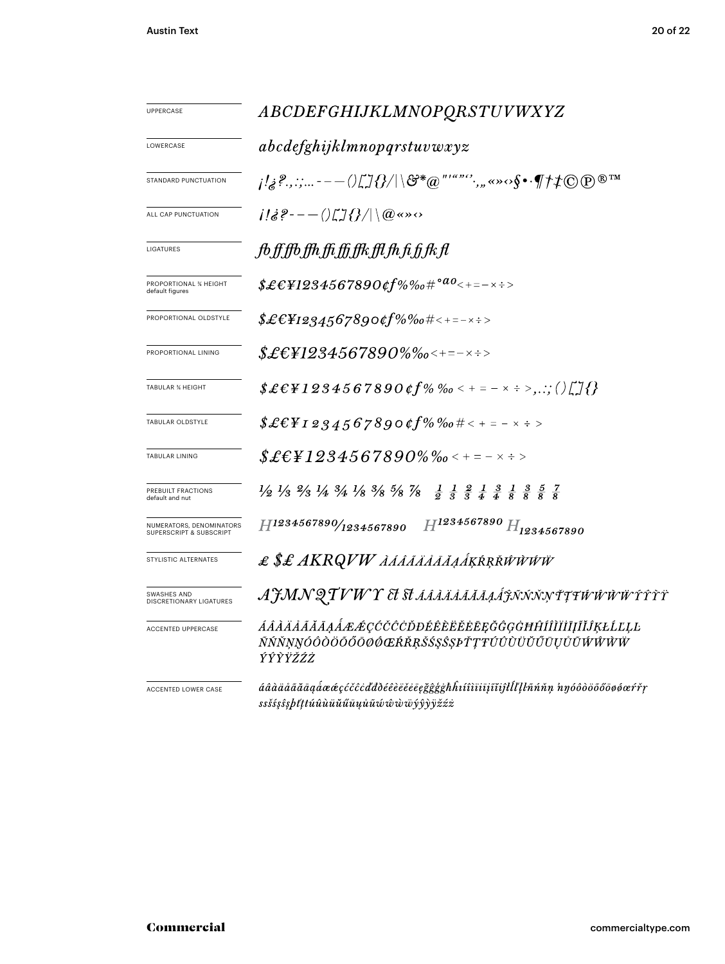| <b>UPPERCASE</b>                                    | ABCDEFGHIJKLMNOPQRSTUVWXYZ                                                                                                                                                                                                                                                |  |  |  |  |
|-----------------------------------------------------|---------------------------------------------------------------------------------------------------------------------------------------------------------------------------------------------------------------------------------------------------------------------------|--|--|--|--|
| LOWERCASE                                           | abcdefghijklmno pqrstuvwxyz                                                                                                                                                                                                                                               |  |  |  |  |
| STANDARD PUNCTUATION                                |                                                                                                                                                                                                                                                                           |  |  |  |  |
| ALL CAP PUNCTUATION                                 | $i\Re 2 - - (i\Im 3)/(\Im 4)$                                                                                                                                                                                                                                             |  |  |  |  |
| LIGATURES                                           | fb,ff,ffb,ffh,ffi,ffi,ffk,ffl,fh,fi,fk,fl                                                                                                                                                                                                                                 |  |  |  |  |
| PROPORTIONAL % HEIGHT<br>default figures            | $${\pounds\in\,{\pounds} 1234567890}$ of %%0# $^{\circ}{}^{a}{}^{0}{}_{\leq+\,=-\,\times\,+>}$                                                                                                                                                                            |  |  |  |  |
| PROPORTIONAL OLDSTYLE                               | $$$ £€¥1234567890¢f%‰#<+=-×÷>                                                                                                                                                                                                                                             |  |  |  |  |
| PROPORTIONAL LINING                                 | $\pounds$ ££¥1234567890%‰<+=-×÷>                                                                                                                                                                                                                                          |  |  |  |  |
| <b>TABULAR % HEIGHT</b>                             | $$$ £€¥1234567890¢f%‰ < + = - × ÷ >,.:; ()[]{}                                                                                                                                                                                                                            |  |  |  |  |
| TABULAR OLDSTYLE                                    | $$E \&F 1 2 3 4 5 6 7 8 9 0 6 f\% \%$                                                                                                                                                                                                                                     |  |  |  |  |
| <b>TABULAR LINING</b>                               | $$$ £€¥1234567890%‰<+=-×÷>                                                                                                                                                                                                                                                |  |  |  |  |
| PREBUILT FRACTIONS<br>default and nut               | $\frac{1}{2}$ $\frac{1}{3}$ $\frac{2}{3}$ $\frac{1}{4}$ $\frac{3}{4}$ $\frac{1}{8}$ $\frac{3}{8}$ $\frac{5}{8}$ $\frac{7}{8}$ $\frac{8}{8}$ $\frac{7}{8}$ $\frac{1}{8}$ $\frac{2}{8}$ $\frac{1}{8}$ $\frac{3}{8}$ $\frac{1}{8}$ $\frac{3}{8}$ $\frac{5}{8}$ $\frac{7}{8}$ |  |  |  |  |
| NUMERATORS, DENOMINATORS<br>SUPERSCRIPT & SUBSCRIPT | $H^{1234567890}H_{1234567890}$<br>H1234567890/1234567890                                                                                                                                                                                                                  |  |  |  |  |
| STYLISTIC ALTERNATES                                | £ \$£ AKRQVW AAAAAAAAAAKRRNWWW                                                                                                                                                                                                                                            |  |  |  |  |
| SWASHES AND<br>DISCRETIONARY LIGATURES              | AJMN QTVWY Et St śśriaja ja a śpinnyttuwww.rryrr                                                                                                                                                                                                                          |  |  |  |  |
| <b>ACCENTED UPPERCASE</b>                           | ÁÂÀÄÅÃĂĀĄÅÆÆÇĆČĈÒĐÉÊÈËĔĔĒĘĞĜĢĠĦĤÍÎÌÏĪĮĨĬĴĶŁĹĽĻĿ<br>ÑŃŇŅŊÓÔÒÖŐŐŌØØŒŔŘŖŠŚŞŜȘÞŤŢŦÚÛÙÜŬŰŪŲŮŨŴŴŴŴ<br><b>ÝŶŶŸŽŹŻ</b>                                                                                                                                                            |  |  |  |  |
| <b>ACCENTED LOWER CASE</b>                          | áâàäåããāąåææçćčĉċďđðéêèëěeēgğģġħĥıíîìiīiīiĭiĵŀĺľlŀñńňņ 'nŋóôòöõőōøøæŕřŗ<br>ssšśşŝşþťttúûùüŭűūųůũŵŵŵwýŷỳÿžźż                                                                                                                                                               |  |  |  |  |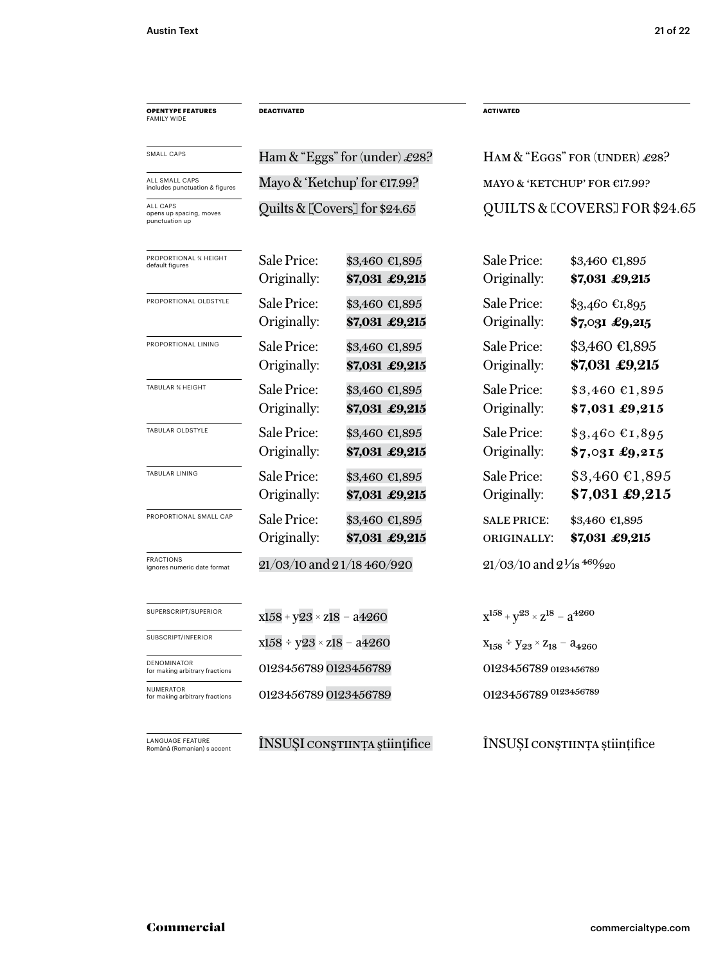| <b>OPENTYPE FEATURES</b><br><b>FAMILY WIDE</b>        | <b>DEACTIVATED</b>                 |                                  |                                                | <b>ACTIVATED</b>                          |  |
|-------------------------------------------------------|------------------------------------|----------------------------------|------------------------------------------------|-------------------------------------------|--|
| <b>SMALL CAPS</b>                                     | Ham & "Eggs" for (under) £28?      |                                  | HAM $&$ "EGGS" FOR (UNDER) £28?                |                                           |  |
| ALL SMALL CAPS<br>includes punctuation & figures      | Mayo & 'Ketchup' for $E17.99$ ?    |                                  | MAYO & 'KETCHUP' FOR €17.99?                   |                                           |  |
| ALL CAPS<br>opens up spacing, moves<br>punctuation up | Quilts & [Covers] for \$24.65      |                                  | QUILTS & LCOVERS] FOR \$24.65                  |                                           |  |
| PROPORTIONAL % HEIGHT<br>default figures              | Sale Price:<br>Originally:         | \$3,460 €1,895<br>\$7,031 £9,215 | Sale Price:<br>Originally:                     | \$3,460 €1,895<br>\$7,031 £9,215          |  |
| PROPORTIONAL OLDSTYLE                                 | Sale Price:<br>Originally:         | \$3,460 €1,895<br>\$7,031 £9,215 | Sale Price:<br>Originally:                     | \$3,460 €1,895<br>\$7,031 £9,215          |  |
| PROPORTIONAL LINING                                   | Sale Price:<br>Originally:         | \$3,460 €1,895<br>\$7,031 £9,215 | Sale Price:<br>Originally:                     | \$3,460 €1,895<br>\$7,031 £9,215          |  |
| <b>TABULAR % HEIGHT</b>                               | Sale Price:<br>Originally:         | \$3,460 €1,895<br>\$7,031 £9,215 | Sale Price:<br>Originally:                     | $$3,460$ €1,895<br>\$7,031 £9,215         |  |
| TABULAR OLDSTYLE                                      | Sale Price:<br>Originally:         | \$3,460 €1,895<br>\$7,031 £9,215 | Sale Price:<br>Originally:                     | $$3,460$ €1,895<br>$$7,031$ £9,215        |  |
| TABULAR LINING                                        | Sale Price:<br>Originally:         | \$3,460 €1,895<br>\$7,031 £9,215 | Sale Price:<br>Originally:                     | $$3,460 \text{ }€1,895$<br>\$7,031 £9,215 |  |
| PROPORTIONAL SMALL CAP                                | Sale Price:<br>Originally:         | \$3,460 €1,895<br>\$7,031 £9,215 | <b>SALE PRICE:</b><br>ORIGINALLY:              | \$3,460 €1,895<br>\$7,031 £9,215          |  |
| <b>FRACTIONS</b><br>ignores numeric date format       | 21/03/10 and 21/18 460/920         |                                  | $21/03/10$ and $2\frac{1}{18}$ $460/920$       |                                           |  |
| SUPERSCRIPT/SUPERIOR                                  | $x158 + y23 \times z18 - a4260$    |                                  | $x^{158} + y^{23} \times z^{18} - a^{4260}$    |                                           |  |
| SUBSCRIPT/INFERIOR                                    | $x158 \div y23 \times z18 - a4260$ |                                  | $X_{158} \div y_{23} \times Z_{18} - a_{4260}$ |                                           |  |
| DENOMINATOR<br>for making arbitrary fractions         | 0123456789 0123456789              |                                  | 0123456789 0123456789                          |                                           |  |
| <b>NUMERATOR</b><br>for making arbitrary fractions    | 0123456789 0123456789              |                                  | 0123456789 0123456789                          |                                           |  |

–<br>LANGUAGE FEATURE<br>Română (Romanian) s accent

ÎNSUŞI conştiința științifice ÎNSUȘI conștiința științifice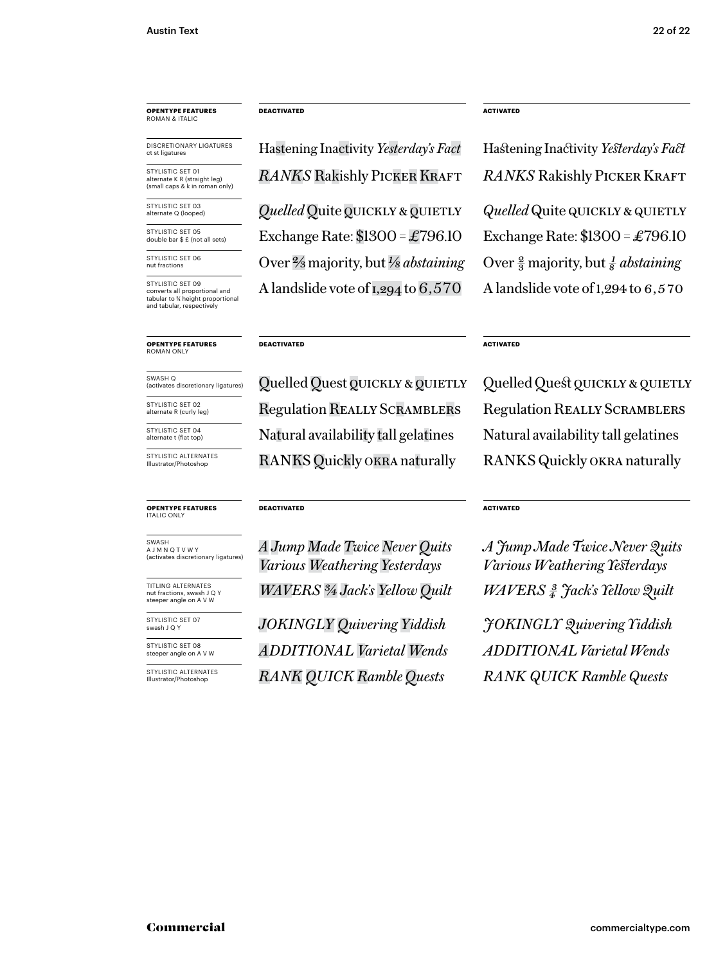## **OPENTYPE FEATURES** ROMAN & ITALIC

DISCRETIONARY LIGATURES<br>ct st ligatures

STYLISTIC SFT 01 alternate K R (straight leg) (small caps & k in roman only)

STYLISTIC SET 03 alternate Q (looped)

STYLISTIC SET 05 double bar \$ £ (not all sets)

STYLISTIC SET 06 nut fractions

STYLISTIC SET 09 converts all proportional and tabular to % height proportional<br>and tabular, respectively

#### **OPENTYPE FEATURES** ROMAN ONLY

SWASH Q (activates discretionary ligatures)

STYLISTIC SET 02

alternate R (curly leg) STYLISTIC SET 04

alternate t (flat top)

STYLISTIC ALTERNATES Illustrator/Photoshop

#### **OPENTYPE FEATURES** ITALIC ONLY

SWASH A J M N Q T V W Y

nut fractions, swash J Q Y steeper angle on A V W

STYLISTIC SET 07 swash J Q Y

STYLISTIC SET 08 steeper angle on A V W

STYLISTIC ALTERNATES Illustrator/Photoshop

#### **DEACTIVATED**

**RANKS Rakishly PICKER KRAFT** *Quelled* Quite *QUICKLY* & *QUIETLY* Exchange Rate:  $$1300 = £796.10$ Hastening Inactivity *Yesterday's Fact* Hastening Inactivity *Yesterday's Fact* 

Over 2/3 majority, but *1/8 abstaining* A landslide vote of  $1,294$  to  $6,570$ 

#### **DEACTIVATED**

Regulation Really Scramblers Natural availability tall gelatines RANKS Quickly okra naturally Quelled Quest QUICKLY & QUIETLY

#### **DEACTIVATED**

*A Jump Made Twice Never Quits* <sup>(activates discretionary ligatures) **Various Weathering Yesterdays**</sup> TITLING ALTERNATES<br>nut fractions, swash JQY **WAVERS** 3/4 Jack's Yellow Quilt WAVERS  $\frac{3}{4}$  *Jack's Yellow Quilt WAVERS 3/4 Jack's Yellow Quilt*

> *JOKINGLY Quivering Yiddish ADDITIONAL Varietal Wends RANK QUICK Ramble Quests*

#### **ACTIVATED**

*RANKS* Rakishly Picker Kraft *Quelled* Quite QUICKLY & QUIETLY Exchange Rate: \$1300 =£796.10 Over  $\frac{2}{3}$  majority, but  $\frac{1}{8}$  *abstaining* A landslide vote of 1,294 to 6,570

#### **ACTIVATED**

Regulation Really Scramblers Natural availability tall gelatines RANKS Quickly okra naturally Quelled Quest QUICKLY & QUIETLY

#### **ACTIVATED**

*A Jump Made Twice Never Quits Various Weathering Yesterdays*

*J OKINGLY Quivering Yiddish ADDITIONAL Varietal Wends RANK QUICK Ramble Quests*